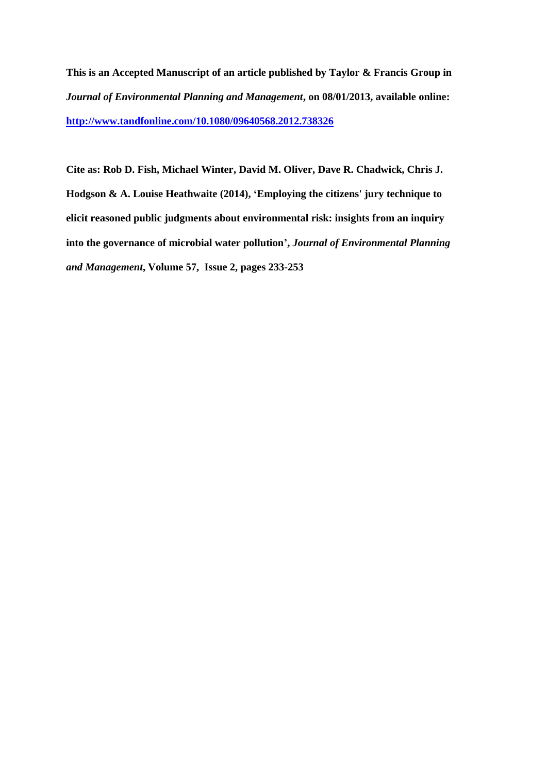**This is an Accepted Manuscript of an article published by Taylor & Francis Group in**  *Journal of Environmental Planning and Management***, on 08/01/2013, available online: <http://www.tandfonline.com/10.1080/09640568.2012.738326>**

**Cite as: Rob D. Fish, Michael Winter, David M. Oliver, Dave R. Chadwick, Chris J. Hodgson & A. Louise Heathwaite (2014), 'Employing the citizens' jury technique to elicit reasoned public judgments about environmental risk: insights from an inquiry into the governance of microbial water pollution',** *Journal of Environmental Planning and Management***, Volume 57, Issue 2, pages 233-253**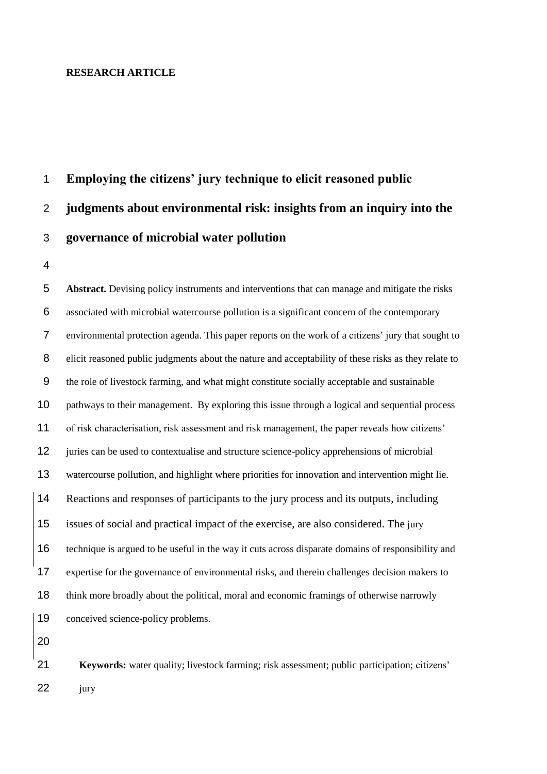### **RESEARCH ARTICLE**

# **Employing the citizens' jury technique to elicit reasoned public judgments about environmental risk: insights from an inquiry into the governance of microbial water pollution**

 **Abstract.** Devising policy instruments and interventions that can manage and mitigate the risks associated with microbial watercourse pollution is a significant concern of the contemporary environmental protection agenda. This paper reports on the work of a citizens' jury that sought to elicit reasoned public judgments about the nature and acceptability of these risks as they relate to the role of livestock farming, and what might constitute socially acceptable and sustainable pathways to their management. By exploring this issue through a logical and sequential process of risk characterisation, risk assessment and risk management, the paper reveals how citizens' 12 juries can be used to contextualise and structure science-policy apprehensions of microbial watercourse pollution, and highlight where priorities for innovation and intervention might lie. Reactions and responses of participants to the jury process and its outputs, including issues of social and practical impact of the exercise, are also considered. The jury technique is argued to be useful in the way it cuts across disparate domains of responsibility and expertise for the governance of environmental risks, and therein challenges decision makers to 18 think more broadly about the political, moral and economic framings of otherwise narrowly conceived science-policy problems.

 **Keywords:** water quality; livestock farming; risk assessment; public participation; citizens' jury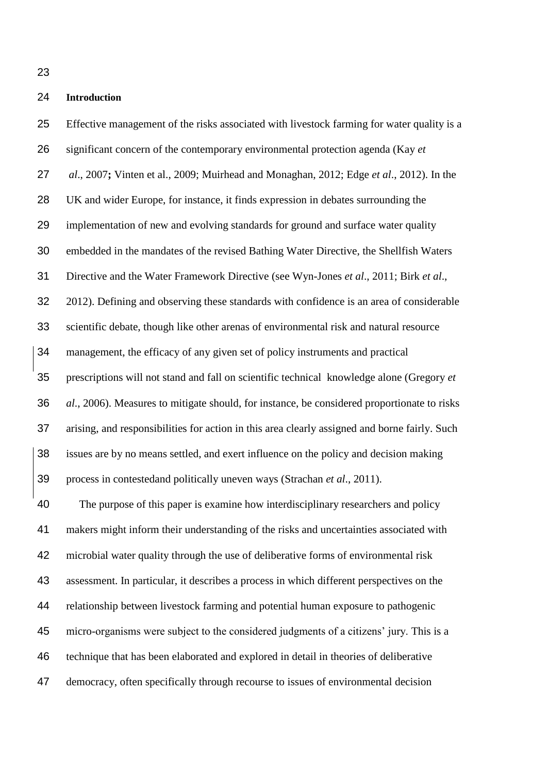# **Introduction**

 Effective management of the risks associated with livestock farming for water quality is a significant concern of the contemporary environmental protection agenda (Kay *et al*., 2007**;** Vinten et al., 2009; Muirhead and Monaghan, 2012; Edge *et al*., 2012). In the UK and wider Europe, for instance, it finds expression in debates surrounding the implementation of new and evolving standards for ground and surface water quality embedded in the mandates of the revised Bathing Water Directive, the Shellfish Waters Directive and the Water Framework Directive (see Wyn-Jones *et al*., 2011; Birk *et al*., 2012). Defining and observing these standards with confidence is an area of considerable scientific debate, though like other arenas of environmental risk and natural resource management, the efficacy of any given set of policy instruments and practical prescriptions will not stand and fall on scientific technical knowledge alone (Gregory *et al*., 2006). Measures to mitigate should, for instance, be considered proportionate to risks arising, and responsibilities for action in this area clearly assigned and borne fairly. Such issues are by no means settled, and exert influence on the policy and decision making process in contestedand politically uneven ways (Strachan *et al*., 2011). The purpose of this paper is examine how interdisciplinary researchers and policy makers might inform their understanding of the risks and uncertainties associated with

 microbial water quality through the use of deliberative forms of environmental risk assessment. In particular, it describes a process in which different perspectives on the relationship between livestock farming and potential human exposure to pathogenic micro-organisms were subject to the considered judgments of a citizens' jury. This is a technique that has been elaborated and explored in detail in theories of deliberative democracy, often specifically through recourse to issues of environmental decision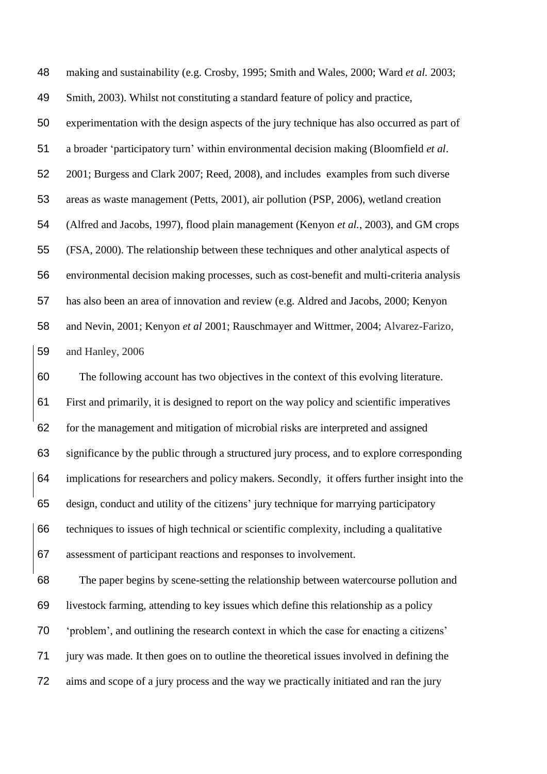making and sustainability (e.g. Crosby, 1995; Smith and Wales, 2000; Ward *et al.* 2003; Smith, 2003). Whilst not constituting a standard feature of policy and practice, experimentation with the design aspects of the jury technique has also occurred as part of a broader 'participatory turn' within environmental decision making (Bloomfield *et al*. 2001; Burgess and Clark 2007; Reed, 2008), and includes examples from such diverse areas as waste management (Petts, 2001), air pollution (PSP, 2006), wetland creation (Alfred and Jacobs, 1997), flood plain management (Kenyon *et al.*, 2003), and GM crops (FSA, 2000). The relationship between these techniques and other analytical aspects of environmental decision making processes, such as cost-benefit and multi-criteria analysis has also been an area of innovation and review (e.g. Aldred and Jacobs, 2000; Kenyon and Nevin, 2001; Kenyon *et al* 2001; Rauschmayer and Wittmer, 2004; Alvarez-Farizo, and Hanley, 2006

 The following account has two objectives in the context of this evolving literature. First and primarily, it is designed to report on the way policy and scientific imperatives for the management and mitigation of microbial risks are interpreted and assigned significance by the public through a structured jury process, and to explore corresponding implications for researchers and policy makers. Secondly, it offers further insight into the design, conduct and utility of the citizens' jury technique for marrying participatory techniques to issues of high technical or scientific complexity, including a qualitative assessment of participant reactions and responses to involvement.

 The paper begins by scene-setting the relationship between watercourse pollution and livestock farming, attending to key issues which define this relationship as a policy 'problem', and outlining the research context in which the case for enacting a citizens' jury was made. It then goes on to outline the theoretical issues involved in defining the aims and scope of a jury process and the way we practically initiated and ran the jury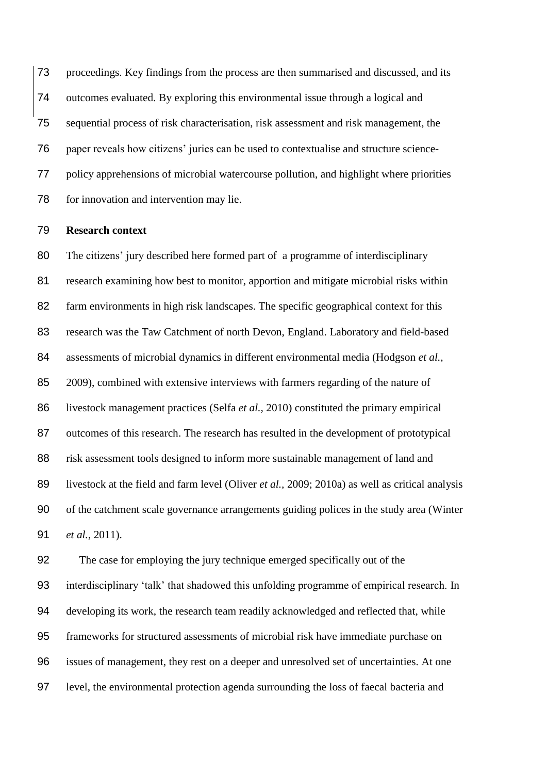proceedings. Key findings from the process are then summarised and discussed, and its outcomes evaluated. By exploring this environmental issue through a logical and sequential process of risk characterisation, risk assessment and risk management, the paper reveals how citizens' juries can be used to contextualise and structure science- policy apprehensions of microbial watercourse pollution, and highlight where priorities 78 for innovation and intervention may lie.

# **Research context**

 The citizens' jury described here formed part of a programme of interdisciplinary research examining how best to monitor, apportion and mitigate microbial risks within farm environments in high risk landscapes. The specific geographical context for this research was the Taw Catchment of north Devon, England. Laboratory and field-based assessments of microbial dynamics in different environmental media (Hodgson *et al.,* 2009), combined with extensive interviews with farmers regarding of the nature of livestock management practices (Selfa *et al.,* 2010) constituted the primary empirical outcomes of this research. The research has resulted in the development of prototypical risk assessment tools designed to inform more sustainable management of land and livestock at the field and farm level (Oliver *et al.,* 2009; 2010a) as well as critical analysis of the catchment scale governance arrangements guiding polices in the study area (Winter *et al.*, 2011).

 The case for employing the jury technique emerged specifically out of the interdisciplinary 'talk' that shadowed this unfolding programme of empirical research. In developing its work, the research team readily acknowledged and reflected that, while frameworks for structured assessments of microbial risk have immediate purchase on issues of management, they rest on a deeper and unresolved set of uncertainties. At one level, the environmental protection agenda surrounding the loss of faecal bacteria and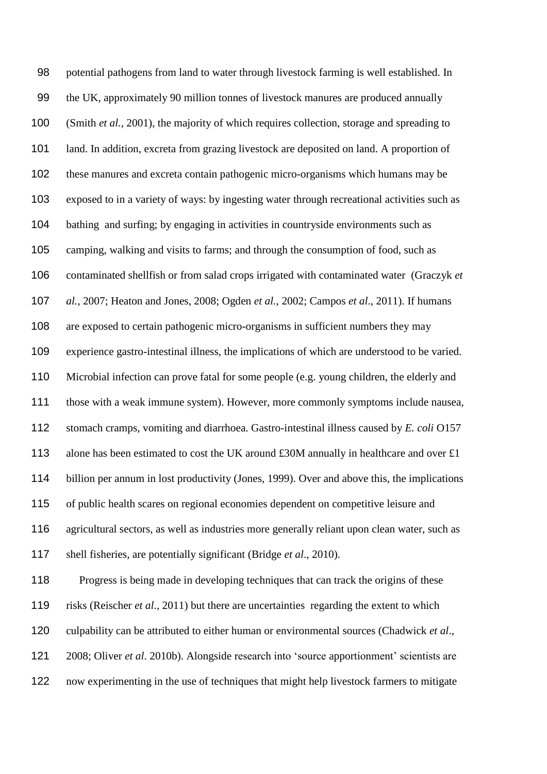potential pathogens from land to water through livestock farming is well established. In the UK, approximately 90 million tonnes of livestock manures are produced annually (Smith *et al.*, 2001), the majority of which requires collection, storage and spreading to land. In addition, excreta from grazing livestock are deposited on land. A proportion of these manures and excreta contain pathogenic micro-organisms which humans may be exposed to in a variety of ways: by ingesting water through recreational activities such as bathing and surfing; by engaging in activities in countryside environments such as camping, walking and visits to farms; and through the consumption of food, such as contaminated shellfish or from salad crops irrigated with contaminated water (Graczyk *et al.*, 2007; Heaton and Jones, 2008; Ogden *et al.*, 2002; Campos *et al*., 2011). If humans are exposed to certain pathogenic micro-organisms in sufficient numbers they may experience gastro-intestinal illness, the implications of which are understood to be varied. Microbial infection can prove fatal for some people (e.g. young children, the elderly and those with a weak immune system). However, more commonly symptoms include nausea, stomach cramps, vomiting and diarrhoea. Gastro-intestinal illness caused by *E. coli* O157 113 alone has been estimated to cost the UK around £30M annually in healthcare and over £1 billion per annum in lost productivity (Jones, 1999). Over and above this, the implications of public health scares on regional economies dependent on competitive leisure and agricultural sectors, as well as industries more generally reliant upon clean water, such as shell fisheries, are potentially significant (Bridge *et al*., 2010). Progress is being made in developing techniques that can track the origins of these risks (Reischer *et al*., 2011) but there are uncertainties regarding the extent to which culpability can be attributed to either human or environmental sources (Chadwick *et al*., 2008; Oliver *et al*. 2010b). Alongside research into 'source apportionment' scientists are

now experimenting in the use of techniques that might help livestock farmers to mitigate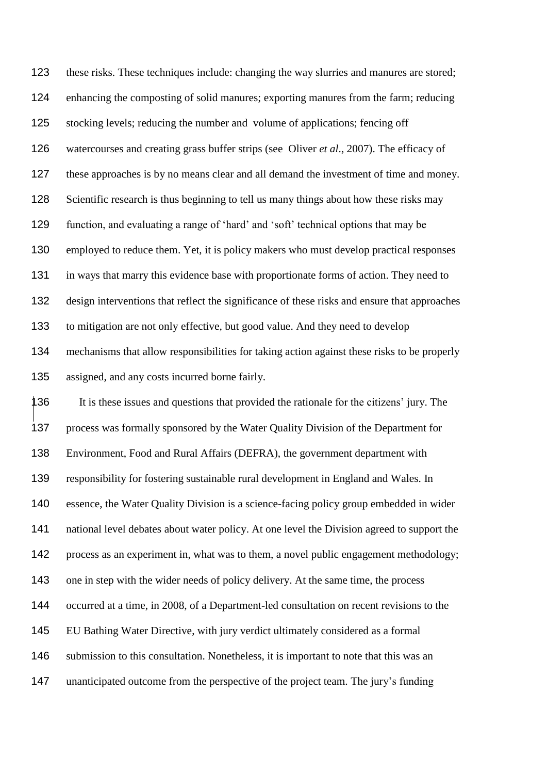these risks. These techniques include: changing the way slurries and manures are stored; enhancing the composting of solid manures; exporting manures from the farm; reducing stocking levels; reducing the number and volume of applications; fencing off watercourses and creating grass buffer strips (see Oliver *et al*., 2007). The efficacy of these approaches is by no means clear and all demand the investment of time and money. Scientific research is thus beginning to tell us many things about how these risks may function, and evaluating a range of 'hard' and 'soft' technical options that may be employed to reduce them. Yet, it is policy makers who must develop practical responses in ways that marry this evidence base with proportionate forms of action. They need to design interventions that reflect the significance of these risks and ensure that approaches to mitigation are not only effective, but good value. And they need to develop mechanisms that allow responsibilities for taking action against these risks to be properly assigned, and any costs incurred borne fairly.

 It is these issues and questions that provided the rationale for the citizens' jury. The process was formally sponsored by the Water Quality Division of the Department for Environment, Food and Rural Affairs (DEFRA), the government department with responsibility for fostering sustainable rural development in England and Wales. In essence, the Water Quality Division is a science-facing policy group embedded in wider national level debates about water policy. At one level the Division agreed to support the process as an experiment in, what was to them, a novel public engagement methodology; one in step with the wider needs of policy delivery. At the same time, the process occurred at a time, in 2008, of a Department-led consultation on recent revisions to the EU Bathing Water Directive, with jury verdict ultimately considered as a formal 146 submission to this consultation. Nonetheless, it is important to note that this was an unanticipated outcome from the perspective of the project team. The jury's funding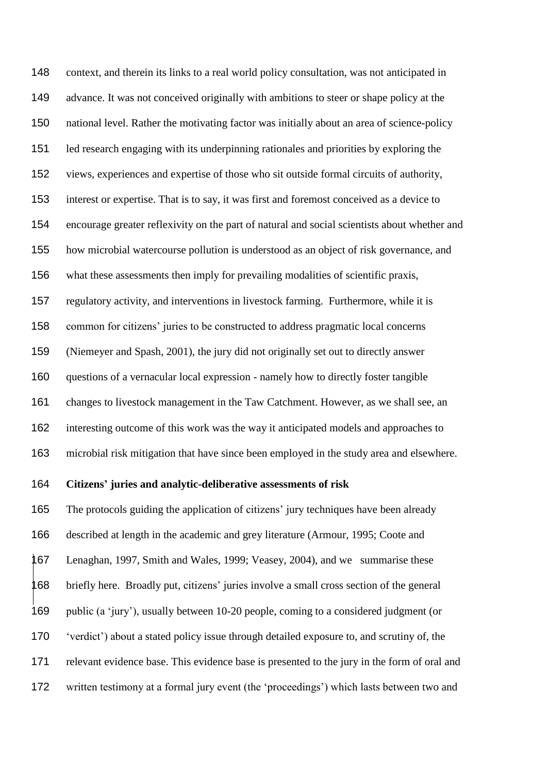context, and therein its links to a real world policy consultation, was not anticipated in advance. It was not conceived originally with ambitions to steer or shape policy at the national level. Rather the motivating factor was initially about an area of science-policy led research engaging with its underpinning rationales and priorities by exploring the views, experiences and expertise of those who sit outside formal circuits of authority, interest or expertise. That is to say, it was first and foremost conceived as a device to encourage greater reflexivity on the part of natural and social scientists about whether and how microbial watercourse pollution is understood as an object of risk governance, and what these assessments then imply for prevailing modalities of scientific praxis, regulatory activity, and interventions in livestock farming. Furthermore, while it is common for citizens' juries to be constructed to address pragmatic local concerns (Niemeyer and Spash, 2001), the jury did not originally set out to directly answer questions of a vernacular local expression - namely how to directly foster tangible changes to livestock management in the Taw Catchment. However, as we shall see, an interesting outcome of this work was the way it anticipated models and approaches to microbial risk mitigation that have since been employed in the study area and elsewhere.

# **Citizens' juries and analytic-deliberative assessments of risk**

 The protocols guiding the application of citizens' jury techniques have been already described at length in the academic and grey literature (Armour, 1995; Coote and Lenaghan, 1997, Smith and Wales, 1999; Veasey, 2004), and we summarise these briefly here. Broadly put, citizens' juries involve a small cross section of the general public (a 'jury'), usually between 10-20 people, coming to a considered judgment (or 'verdict') about a stated policy issue through detailed exposure to, and scrutiny of, the relevant evidence base. This evidence base is presented to the jury in the form of oral and written testimony at a formal jury event (the 'proceedings') which lasts between two and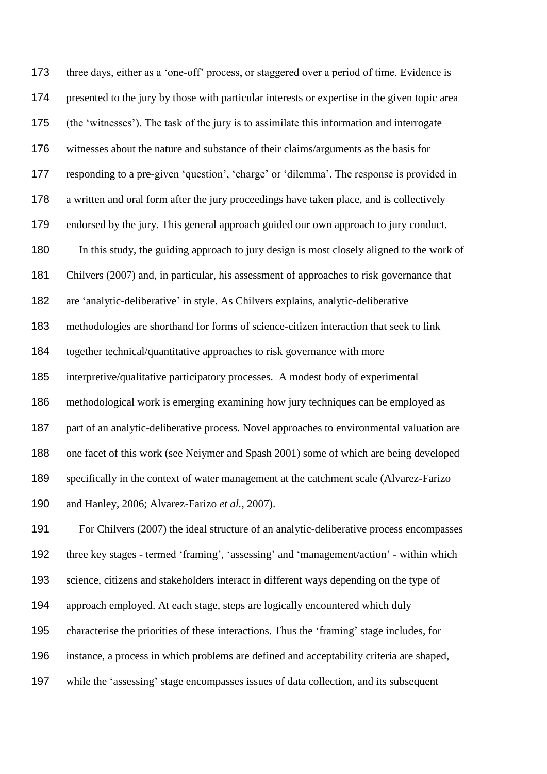three days, either as a 'one-off' process, or staggered over a period of time. Evidence is 174 presented to the jury by those with particular interests or expertise in the given topic area (the 'witnesses'). The task of the jury is to assimilate this information and interrogate witnesses about the nature and substance of their claims/arguments as the basis for responding to a pre-given 'question', 'charge' or 'dilemma'. The response is provided in a written and oral form after the jury proceedings have taken place, and is collectively endorsed by the jury. This general approach guided our own approach to jury conduct. In this study, the guiding approach to jury design is most closely aligned to the work of Chilvers (2007) and, in particular, his assessment of approaches to risk governance that are 'analytic-deliberative' in style. As Chilvers explains, analytic-deliberative methodologies are shorthand for forms of science-citizen interaction that seek to link together technical/quantitative approaches to risk governance with more interpretive/qualitative participatory processes. A modest body of experimental methodological work is emerging examining how jury techniques can be employed as 187 part of an analytic-deliberative process. Novel approaches to environmental valuation are one facet of this work (see Neiymer and Spash 2001) some of which are being developed specifically in the context of water management at the catchment scale (Alvarez-Farizo and Hanley, 2006; Alvarez-Farizo *et al.,* 2007). For Chilvers (2007) the ideal structure of an analytic-deliberative process encompasses three key stages - termed 'framing', 'assessing' and 'management/action' - within which

science, citizens and stakeholders interact in different ways depending on the type of

approach employed. At each stage, steps are logically encountered which duly

characterise the priorities of these interactions. Thus the 'framing' stage includes, for

instance, a process in which problems are defined and acceptability criteria are shaped,

while the 'assessing' stage encompasses issues of data collection, and its subsequent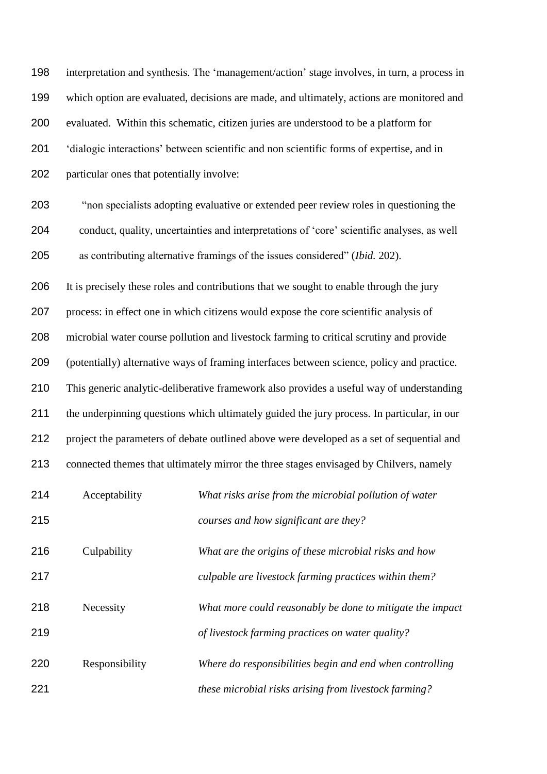| 198 | interpretation and synthesis. The 'management/action' stage involves, in turn, a process in |                                                                                           |
|-----|---------------------------------------------------------------------------------------------|-------------------------------------------------------------------------------------------|
| 199 |                                                                                             | which option are evaluated, decisions are made, and ultimately, actions are monitored and |
| 200 |                                                                                             | evaluated. Within this schematic, citizen juries are understood to be a platform for      |
| 201 |                                                                                             | 'dialogic interactions' between scientific and non scientific forms of expertise, and in  |
| 202 | particular ones that potentially involve:                                                   |                                                                                           |
| 203 | "non specialists adopting evaluative or extended peer review roles in questioning the       |                                                                                           |
| 204 | conduct, quality, uncertainties and interpretations of 'core' scientific analyses, as well  |                                                                                           |
| 205 |                                                                                             | as contributing alternative framings of the issues considered" (Ibid. 202).               |
| 206 |                                                                                             | It is precisely these roles and contributions that we sought to enable through the jury   |
| 207 | process: in effect one in which citizens would expose the core scientific analysis of       |                                                                                           |
| 208 | microbial water course pollution and livestock farming to critical scrutiny and provide     |                                                                                           |
| 209 | (potentially) alternative ways of framing interfaces between science, policy and practice.  |                                                                                           |
| 210 | This generic analytic-deliberative framework also provides a useful way of understanding    |                                                                                           |
| 211 | the underpinning questions which ultimately guided the jury process. In particular, in our  |                                                                                           |
| 212 | project the parameters of debate outlined above were developed as a set of sequential and   |                                                                                           |
| 213 |                                                                                             | connected themes that ultimately mirror the three stages envisaged by Chilvers, namely    |
| 214 | Acceptability                                                                               | What risks arise from the microbial pollution of water                                    |
| 215 |                                                                                             | courses and how significant are they?                                                     |
| 216 | Culpability                                                                                 | What are the origins of these microbial risks and how                                     |
| 217 |                                                                                             | culpable are livestock farming practices within them?                                     |
| 218 | Necessity                                                                                   | What more could reasonably be done to mitigate the impact                                 |
| 219 |                                                                                             | of livestock farming practices on water quality?                                          |
| 220 | Responsibility                                                                              | Where do responsibilities begin and end when controlling                                  |
| 221 |                                                                                             | these microbial risks arising from livestock farming?                                     |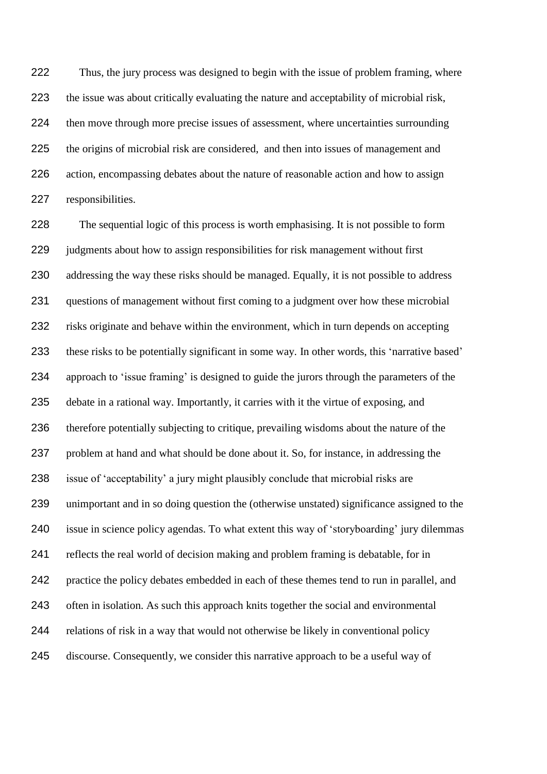Thus, the jury process was designed to begin with the issue of problem framing, where 223 the issue was about critically evaluating the nature and acceptability of microbial risk, then move through more precise issues of assessment, where uncertainties surrounding the origins of microbial risk are considered, and then into issues of management and action, encompassing debates about the nature of reasonable action and how to assign responsibilities.

 The sequential logic of this process is worth emphasising. It is not possible to form 229 judgments about how to assign responsibilities for risk management without first addressing the way these risks should be managed. Equally, it is not possible to address 231 guestions of management without first coming to a judgment over how these microbial risks originate and behave within the environment, which in turn depends on accepting these risks to be potentially significant in some way. In other words, this 'narrative based' approach to 'issue framing' is designed to guide the jurors through the parameters of the debate in a rational way. Importantly, it carries with it the virtue of exposing, and 236 therefore potentially subjecting to critique, prevailing wisdoms about the nature of the problem at hand and what should be done about it. So, for instance, in addressing the issue of 'acceptability' a jury might plausibly conclude that microbial risks are unimportant and in so doing question the (otherwise unstated) significance assigned to the issue in science policy agendas. To what extent this way of 'storyboarding' jury dilemmas reflects the real world of decision making and problem framing is debatable, for in practice the policy debates embedded in each of these themes tend to run in parallel, and often in isolation. As such this approach knits together the social and environmental relations of risk in a way that would not otherwise be likely in conventional policy discourse. Consequently, we consider this narrative approach to be a useful way of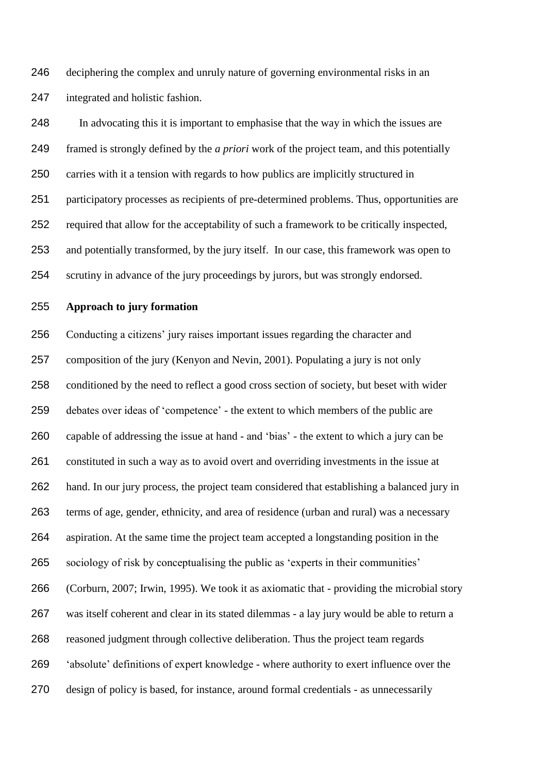deciphering the complex and unruly nature of governing environmental risks in an 247 integrated and holistic fashion.

 In advocating this it is important to emphasise that the way in which the issues are framed is strongly defined by the *a priori* work of the project team, and this potentially carries with it a tension with regards to how publics are implicitly structured in participatory processes as recipients of pre-determined problems. Thus, opportunities are required that allow for the acceptability of such a framework to be critically inspected, and potentially transformed, by the jury itself. In our case, this framework was open to scrutiny in advance of the jury proceedings by jurors, but was strongly endorsed.

### **Approach to jury formation**

 Conducting a citizens' jury raises important issues regarding the character and composition of the jury (Kenyon and Nevin, 2001). Populating a jury is not only conditioned by the need to reflect a good cross section of society, but beset with wider debates over ideas of 'competence' - the extent to which members of the public are capable of addressing the issue at hand - and 'bias' - the extent to which a jury can be constituted in such a way as to avoid overt and overriding investments in the issue at hand. In our jury process, the project team considered that establishing a balanced jury in terms of age, gender, ethnicity, and area of residence (urban and rural) was a necessary aspiration. At the same time the project team accepted a longstanding position in the sociology of risk by conceptualising the public as 'experts in their communities' (Corburn, 2007; Irwin, 1995). We took it as axiomatic that - providing the microbial story was itself coherent and clear in its stated dilemmas - a lay jury would be able to return a reasoned judgment through collective deliberation. Thus the project team regards 'absolute' definitions of expert knowledge - where authority to exert influence over the design of policy is based, for instance, around formal credentials - as unnecessarily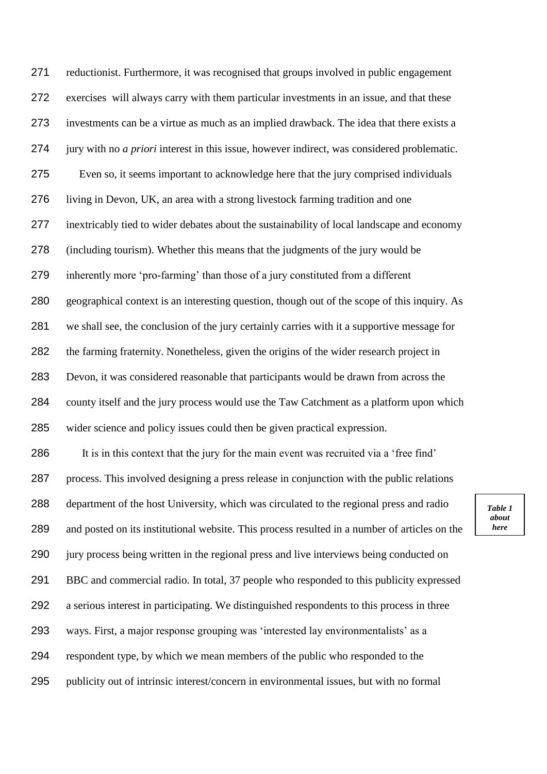reductionist. Furthermore, it was recognised that groups involved in public engagement exercises will always carry with them particular investments in an issue, and that these investments can be a virtue as much as an implied drawback. The idea that there exists a jury with no *a priori* interest in this issue, however indirect, was considered problematic. Even so, it seems important to acknowledge here that the jury comprised individuals living in Devon, UK, an area with a strong livestock farming tradition and one inextricably tied to wider debates about the sustainability of local landscape and economy (including tourism). Whether this means that the judgments of the jury would be inherently more 'pro-farming' than those of a jury constituted from a different geographical context is an interesting question, though out of the scope of this inquiry. As we shall see, the conclusion of the jury certainly carries with it a supportive message for the farming fraternity. Nonetheless, given the origins of the wider research project in Devon, it was considered reasonable that participants would be drawn from across the county itself and the jury process would use the Taw Catchment as a platform upon which wider science and policy issues could then be given practical expression. It is in this context that the jury for the main event was recruited via a 'free find' process. This involved designing a press release in conjunction with the public relations department of the host University, which was circulated to the regional press and radio and posted on its institutional website. This process resulted in a number of articles on the jury process being written in the regional press and live interviews being conducted on BBC and commercial radio. In total, 37 people who responded to this publicity expressed a serious interest in participating. We distinguished respondents to this process in three ways. First, a major response grouping was 'interested lay environmentalists' as a respondent type, by which we mean members of the public who responded to the publicity out of intrinsic interest/concern in environmental issues, but with no formal

*Table 1 about here*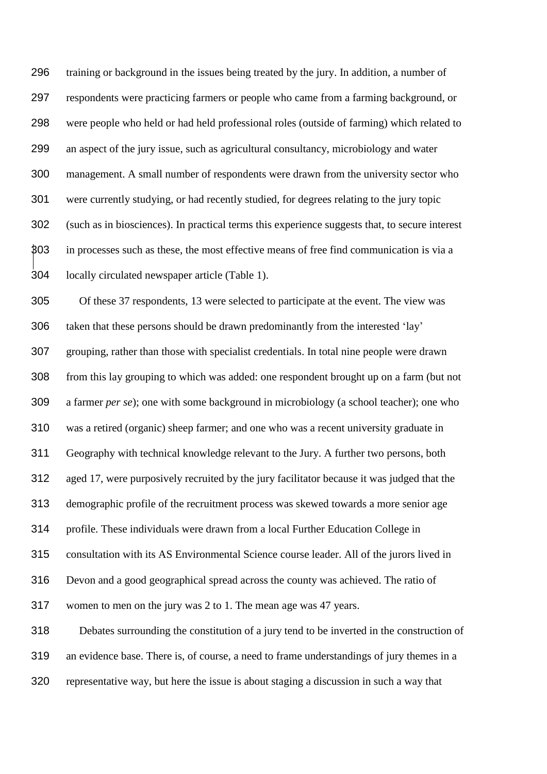training or background in the issues being treated by the jury. In addition, a number of respondents were practicing farmers or people who came from a farming background, or were people who held or had held professional roles (outside of farming) which related to an aspect of the jury issue, such as agricultural consultancy, microbiology and water management. A small number of respondents were drawn from the university sector who were currently studying, or had recently studied, for degrees relating to the jury topic (such as in biosciences). In practical terms this experience suggests that, to secure interest in processes such as these, the most effective means of free find communication is via a locally circulated newspaper article (Table 1).

 Of these 37 respondents, 13 were selected to participate at the event. The view was taken that these persons should be drawn predominantly from the interested 'lay' grouping, rather than those with specialist credentials. In total nine people were drawn from this lay grouping to which was added: one respondent brought up on a farm (but not a farmer *per se*); one with some background in microbiology (a school teacher); one who was a retired (organic) sheep farmer; and one who was a recent university graduate in Geography with technical knowledge relevant to the Jury. A further two persons, both aged 17, were purposively recruited by the jury facilitator because it was judged that the demographic profile of the recruitment process was skewed towards a more senior age profile. These individuals were drawn from a local Further Education College in consultation with its AS Environmental Science course leader. All of the jurors lived in Devon and a good geographical spread across the county was achieved. The ratio of women to men on the jury was 2 to 1. The mean age was 47 years. Debates surrounding the constitution of a jury tend to be inverted in the construction of an evidence base. There is, of course, a need to frame understandings of jury themes in a representative way, but here the issue is about staging a discussion in such a way that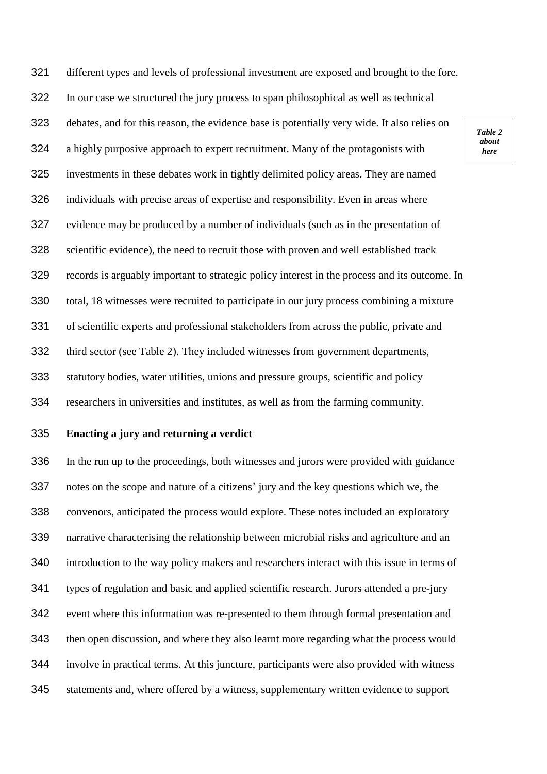different types and levels of professional investment are exposed and brought to the fore.

*Table 2 about here*

 In our case we structured the jury process to span philosophical as well as technical debates, and for this reason, the evidence base is potentially very wide. It also relies on a highly purposive approach to expert recruitment. Many of the protagonists with investments in these debates work in tightly delimited policy areas. They are named individuals with precise areas of expertise and responsibility. Even in areas where evidence may be produced by a number of individuals (such as in the presentation of scientific evidence), the need to recruit those with proven and well established track records is arguably important to strategic policy interest in the process and its outcome. In total, 18 witnesses were recruited to participate in our jury process combining a mixture of scientific experts and professional stakeholders from across the public, private and third sector (see Table 2). They included witnesses from government departments, statutory bodies, water utilities, unions and pressure groups, scientific and policy researchers in universities and institutes, as well as from the farming community.

**Enacting a jury and returning a verdict**

 In the run up to the proceedings, both witnesses and jurors were provided with guidance notes on the scope and nature of a citizens' jury and the key questions which we, the convenors, anticipated the process would explore. These notes included an exploratory narrative characterising the relationship between microbial risks and agriculture and an introduction to the way policy makers and researchers interact with this issue in terms of types of regulation and basic and applied scientific research. Jurors attended a pre-jury event where this information was re-presented to them through formal presentation and then open discussion, and where they also learnt more regarding what the process would involve in practical terms. At this juncture, participants were also provided with witness statements and, where offered by a witness, supplementary written evidence to support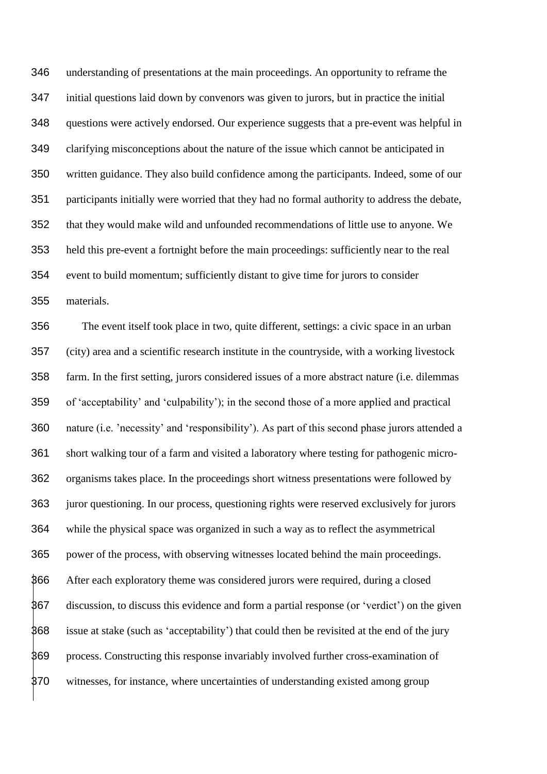understanding of presentations at the main proceedings. An opportunity to reframe the initial questions laid down by convenors was given to jurors, but in practice the initial questions were actively endorsed. Our experience suggests that a pre-event was helpful in clarifying misconceptions about the nature of the issue which cannot be anticipated in written guidance. They also build confidence among the participants. Indeed, some of our participants initially were worried that they had no formal authority to address the debate, that they would make wild and unfounded recommendations of little use to anyone. We held this pre-event a fortnight before the main proceedings: sufficiently near to the real event to build momentum; sufficiently distant to give time for jurors to consider materials.

 The event itself took place in two, quite different, settings: a civic space in an urban (city) area and a scientific research institute in the countryside, with a working livestock farm. In the first setting, jurors considered issues of a more abstract nature (i.e. dilemmas of 'acceptability' and 'culpability'); in the second those of a more applied and practical nature (i.e. 'necessity' and 'responsibility'). As part of this second phase jurors attended a short walking tour of a farm and visited a laboratory where testing for pathogenic micro- organisms takes place. In the proceedings short witness presentations were followed by juror questioning. In our process, questioning rights were reserved exclusively for jurors while the physical space was organized in such a way as to reflect the asymmetrical power of the process, with observing witnesses located behind the main proceedings. After each exploratory theme was considered jurors were required, during a closed discussion, to discuss this evidence and form a partial response (or 'verdict') on the given issue at stake (such as 'acceptability') that could then be revisited at the end of the jury process. Constructing this response invariably involved further cross-examination of witnesses, for instance, where uncertainties of understanding existed among group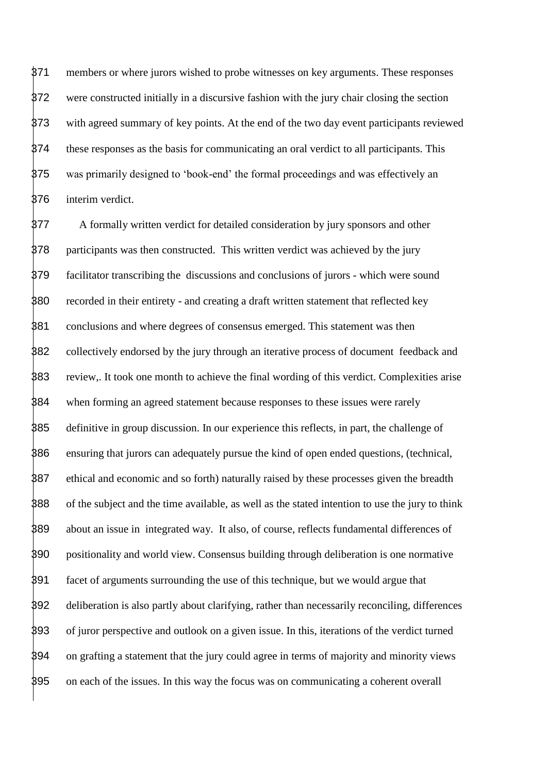members or where jurors wished to probe witnesses on key arguments. These responses were constructed initially in a discursive fashion with the jury chair closing the section with agreed summary of key points. At the end of the two day event participants reviewed these responses as the basis for communicating an oral verdict to all participants. This was primarily designed to 'book-end' the formal proceedings and was effectively an interim verdict.

 A formally written verdict for detailed consideration by jury sponsors and other participants was then constructed. This written verdict was achieved by the jury facilitator transcribing the discussions and conclusions of jurors - which were sound recorded in their entirety - and creating a draft written statement that reflected key conclusions and where degrees of consensus emerged. This statement was then collectively endorsed by the jury through an iterative process of document feedback and review,. It took one month to achieve the final wording of this verdict. Complexities arise when forming an agreed statement because responses to these issues were rarely definitive in group discussion. In our experience this reflects, in part, the challenge of ensuring that jurors can adequately pursue the kind of open ended questions, (technical, ethical and economic and so forth) naturally raised by these processes given the breadth of the subject and the time available, as well as the stated intention to use the jury to think about an issue in integrated way. It also, of course, reflects fundamental differences of positionality and world view. Consensus building through deliberation is one normative facet of arguments surrounding the use of this technique, but we would argue that deliberation is also partly about clarifying, rather than necessarily reconciling, differences of juror perspective and outlook on a given issue. In this, iterations of the verdict turned on grafting a statement that the jury could agree in terms of majority and minority views on each of the issues. In this way the focus was on communicating a coherent overall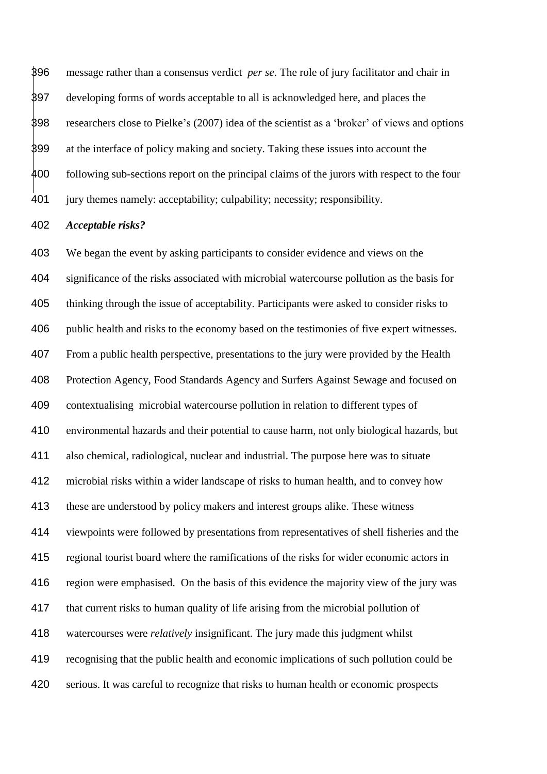message rather than a consensus verdict *per se*. The role of jury facilitator and chair in developing forms of words acceptable to all is acknowledged here, and places the researchers close to Pielke's (2007) idea of the scientist as a 'broker' of views and options 399 at the interface of policy making and society. Taking these issues into account the 400 following sub-sections report on the principal claims of the jurors with respect to the four jury themes namely: acceptability; culpability; necessity; responsibility.

### *Acceptable risks?*

 We began the event by asking participants to consider evidence and views on the significance of the risks associated with microbial watercourse pollution as the basis for thinking through the issue of acceptability. Participants were asked to consider risks to 406 public health and risks to the economy based on the testimonies of five expert witnesses. From a public health perspective, presentations to the jury were provided by the Health Protection Agency, Food Standards Agency and Surfers Against Sewage and focused on contextualising microbial watercourse pollution in relation to different types of environmental hazards and their potential to cause harm, not only biological hazards, but also chemical, radiological, nuclear and industrial. The purpose here was to situate microbial risks within a wider landscape of risks to human health, and to convey how these are understood by policy makers and interest groups alike. These witness viewpoints were followed by presentations from representatives of shell fisheries and the regional tourist board where the ramifications of the risks for wider economic actors in region were emphasised. On the basis of this evidence the majority view of the jury was 417 that current risks to human quality of life arising from the microbial pollution of watercourses were *relatively* insignificant. The jury made this judgment whilst recognising that the public health and economic implications of such pollution could be serious. It was careful to recognize that risks to human health or economic prospects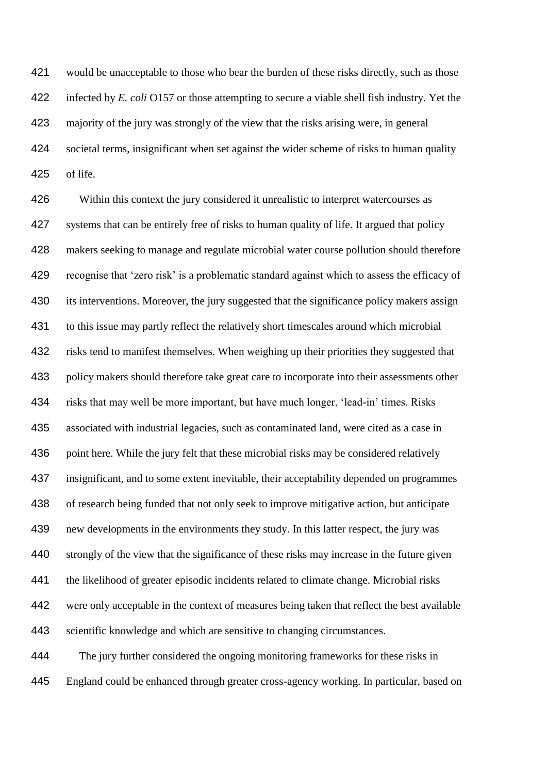would be unacceptable to those who bear the burden of these risks directly, such as those infected by *E. coli* O157 or those attempting to secure a viable shell fish industry. Yet the majority of the jury was strongly of the view that the risks arising were, in general societal terms, insignificant when set against the wider scheme of risks to human quality of life.

 Within this context the jury considered it unrealistic to interpret watercourses as systems that can be entirely free of risks to human quality of life. It argued that policy makers seeking to manage and regulate microbial water course pollution should therefore recognise that 'zero risk' is a problematic standard against which to assess the efficacy of 430 its interventions. Moreover, the jury suggested that the significance policy makers assign to this issue may partly reflect the relatively short timescales around which microbial risks tend to manifest themselves. When weighing up their priorities they suggested that policy makers should therefore take great care to incorporate into their assessments other risks that may well be more important, but have much longer, 'lead-in' times. Risks associated with industrial legacies, such as contaminated land, were cited as a case in 436 point here. While the jury felt that these microbial risks may be considered relatively insignificant, and to some extent inevitable, their acceptability depended on programmes of research being funded that not only seek to improve mitigative action, but anticipate new developments in the environments they study. In this latter respect, the jury was strongly of the view that the significance of these risks may increase in the future given the likelihood of greater episodic incidents related to climate change. Microbial risks were only acceptable in the context of measures being taken that reflect the best available scientific knowledge and which are sensitive to changing circumstances. The jury further considered the ongoing monitoring frameworks for these risks in

England could be enhanced through greater cross-agency working. In particular, based on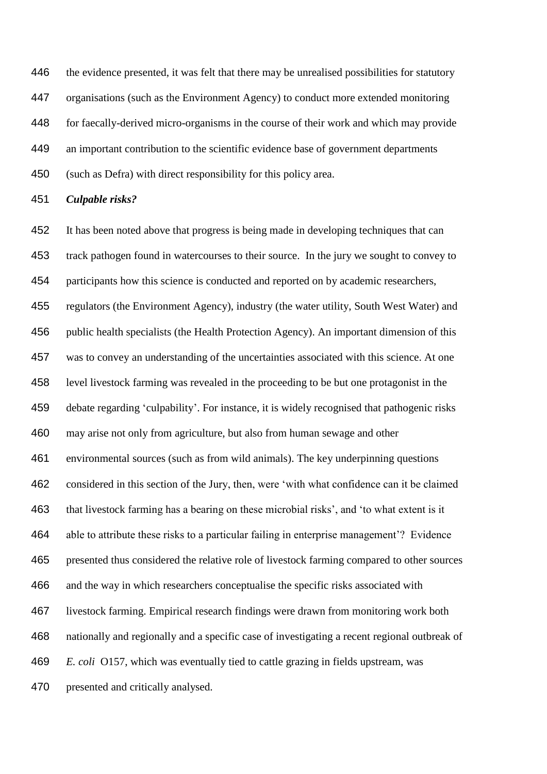446 the evidence presented, it was felt that there may be unrealised possibilities for statutory organisations (such as the Environment Agency) to conduct more extended monitoring for faecally-derived micro-organisms in the course of their work and which may provide an important contribution to the scientific evidence base of government departments (such as Defra) with direct responsibility for this policy area.

*Culpable risks?*

 It has been noted above that progress is being made in developing techniques that can track pathogen found in watercourses to their source. In the jury we sought to convey to participants how this science is conducted and reported on by academic researchers, regulators (the Environment Agency), industry (the water utility, South West Water) and public health specialists (the Health Protection Agency). An important dimension of this was to convey an understanding of the uncertainties associated with this science. At one level livestock farming was revealed in the proceeding to be but one protagonist in the debate regarding 'culpability'. For instance, it is widely recognised that pathogenic risks may arise not only from agriculture, but also from human sewage and other environmental sources (such as from wild animals). The key underpinning questions considered in this section of the Jury, then, were 'with what confidence can it be claimed that livestock farming has a bearing on these microbial risks', and 'to what extent is it able to attribute these risks to a particular failing in enterprise management'? Evidence presented thus considered the relative role of livestock farming compared to other sources and the way in which researchers conceptualise the specific risks associated with livestock farming. Empirical research findings were drawn from monitoring work both nationally and regionally and a specific case of investigating a recent regional outbreak of *E. coli* O157, which was eventually tied to cattle grazing in fields upstream, was presented and critically analysed.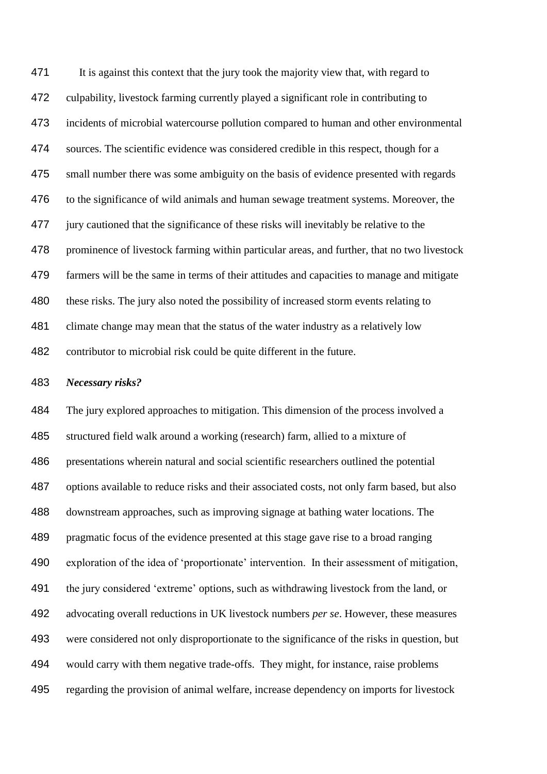471 It is against this context that the jury took the majority view that, with regard to culpability, livestock farming currently played a significant role in contributing to incidents of microbial watercourse pollution compared to human and other environmental sources. The scientific evidence was considered credible in this respect, though for a small number there was some ambiguity on the basis of evidence presented with regards to the significance of wild animals and human sewage treatment systems. Moreover, the jury cautioned that the significance of these risks will inevitably be relative to the prominence of livestock farming within particular areas, and further, that no two livestock farmers will be the same in terms of their attitudes and capacities to manage and mitigate 480 these risks. The jury also noted the possibility of increased storm events relating to 481 climate change may mean that the status of the water industry as a relatively low contributor to microbial risk could be quite different in the future.

### *Necessary risks?*

 The jury explored approaches to mitigation. This dimension of the process involved a structured field walk around a working (research) farm, allied to a mixture of presentations wherein natural and social scientific researchers outlined the potential options available to reduce risks and their associated costs, not only farm based, but also downstream approaches, such as improving signage at bathing water locations. The pragmatic focus of the evidence presented at this stage gave rise to a broad ranging exploration of the idea of 'proportionate' intervention. In their assessment of mitigation, the jury considered 'extreme' options, such as withdrawing livestock from the land, or advocating overall reductions in UK livestock numbers *per se*. However, these measures were considered not only disproportionate to the significance of the risks in question, but would carry with them negative trade-offs. They might, for instance, raise problems regarding the provision of animal welfare, increase dependency on imports for livestock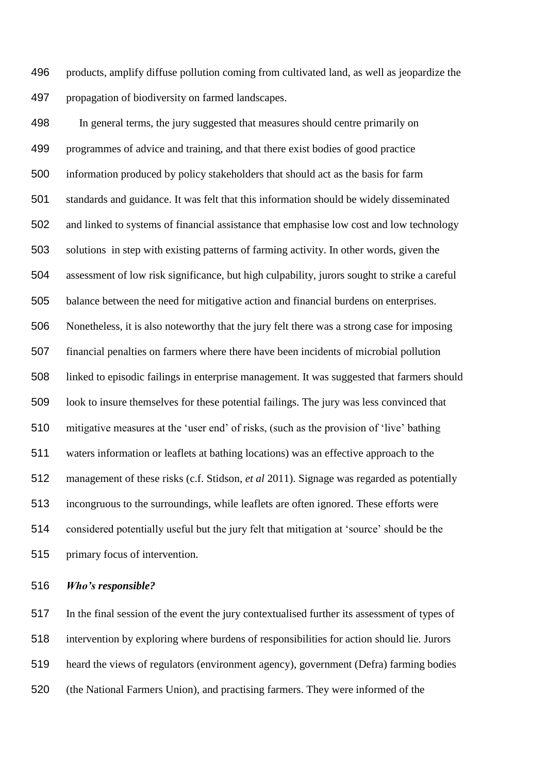products, amplify diffuse pollution coming from cultivated land, as well as jeopardize the propagation of biodiversity on farmed landscapes.

 In general terms, the jury suggested that measures should centre primarily on programmes of advice and training, and that there exist bodies of good practice information produced by policy stakeholders that should act as the basis for farm standards and guidance. It was felt that this information should be widely disseminated and linked to systems of financial assistance that emphasise low cost and low technology solutions in step with existing patterns of farming activity. In other words, given the assessment of low risk significance, but high culpability, jurors sought to strike a careful balance between the need for mitigative action and financial burdens on enterprises. Nonetheless, it is also noteworthy that the jury felt there was a strong case for imposing financial penalties on farmers where there have been incidents of microbial pollution linked to episodic failings in enterprise management. It was suggested that farmers should look to insure themselves for these potential failings. The jury was less convinced that mitigative measures at the 'user end' of risks, (such as the provision of 'live' bathing waters information or leaflets at bathing locations) was an effective approach to the management of these risks (c.f. Stidson, *et al* 2011). Signage was regarded as potentially incongruous to the surroundings, while leaflets are often ignored. These efforts were considered potentially useful but the jury felt that mitigation at 'source' should be the primary focus of intervention.

*Who's responsible?*

 In the final session of the event the jury contextualised further its assessment of types of intervention by exploring where burdens of responsibilities for action should lie. Jurors heard the views of regulators (environment agency), government (Defra) farming bodies (the National Farmers Union), and practising farmers. They were informed of the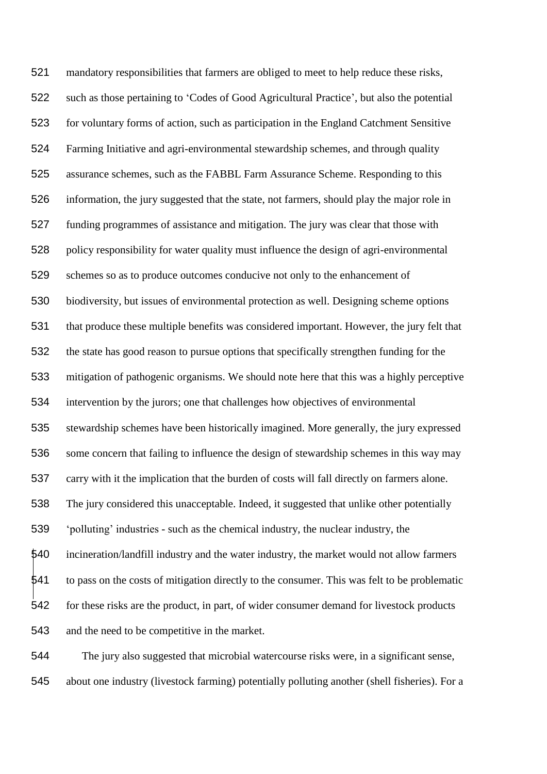mandatory responsibilities that farmers are obliged to meet to help reduce these risks, such as those pertaining to 'Codes of Good Agricultural Practice', but also the potential for voluntary forms of action, such as participation in the England Catchment Sensitive Farming Initiative and agri-environmental stewardship schemes, and through quality assurance schemes, such as the FABBL Farm Assurance Scheme. Responding to this information, the jury suggested that the state, not farmers, should play the major role in funding programmes of assistance and mitigation. The jury was clear that those with policy responsibility for water quality must influence the design of agri-environmental schemes so as to produce outcomes conducive not only to the enhancement of biodiversity, but issues of environmental protection as well. Designing scheme options that produce these multiple benefits was considered important. However, the jury felt that the state has good reason to pursue options that specifically strengthen funding for the mitigation of pathogenic organisms. We should note here that this was a highly perceptive intervention by the jurors; one that challenges how objectives of environmental stewardship schemes have been historically imagined. More generally, the jury expressed some concern that failing to influence the design of stewardship schemes in this way may carry with it the implication that the burden of costs will fall directly on farmers alone. The jury considered this unacceptable. Indeed, it suggested that unlike other potentially 'polluting' industries - such as the chemical industry, the nuclear industry, the incineration/landfill industry and the water industry, the market would not allow farmers to pass on the costs of mitigation directly to the consumer. This was felt to be problematic for these risks are the product, in part, of wider consumer demand for livestock products and the need to be competitive in the market.

 The jury also suggested that microbial watercourse risks were, in a significant sense, about one industry (livestock farming) potentially polluting another (shell fisheries). For a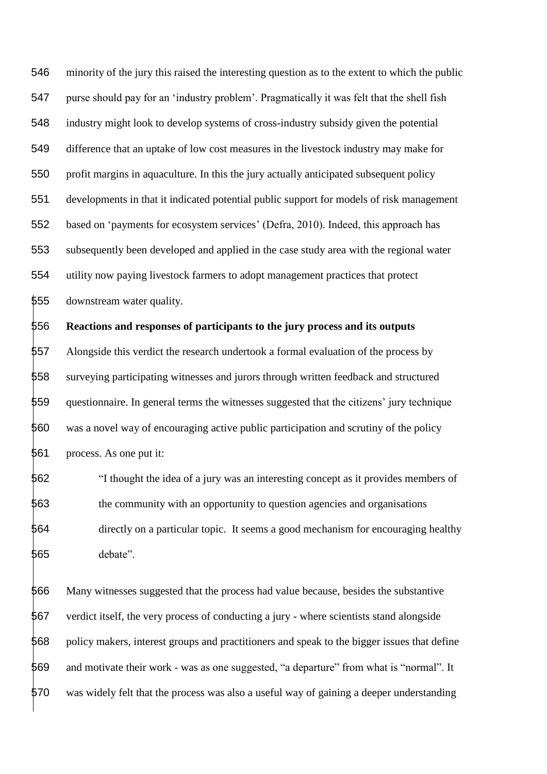minority of the jury this raised the interesting question as to the extent to which the public purse should pay for an 'industry problem'. Pragmatically it was felt that the shell fish industry might look to develop systems of cross-industry subsidy given the potential difference that an uptake of low cost measures in the livestock industry may make for profit margins in aquaculture. In this the jury actually anticipated subsequent policy developments in that it indicated potential public support for models of risk management based on 'payments for ecosystem services' (Defra, 2010). Indeed, this approach has subsequently been developed and applied in the case study area with the regional water utility now paying livestock farmers to adopt management practices that protect downstream water quality.

# **Reactions and responses of participants to the jury process and its outputs**

 Alongside this verdict the research undertook a formal evaluation of the process by surveying participating witnesses and jurors through written feedback and structured questionnaire. In general terms the witnesses suggested that the citizens' jury technique was a novel way of encouraging active public participation and scrutiny of the policy process. As one put it:

 "I thought the idea of a jury was an interesting concept as it provides members of the community with an opportunity to question agencies and organisations directly on a particular topic. It seems a good mechanism for encouraging healthy debate".

 Many witnesses suggested that the process had value because, besides the substantive verdict itself, the very process of conducting a jury - where scientists stand alongside policy makers, interest groups and practitioners and speak to the bigger issues that define and motivate their work - was as one suggested, "a departure" from what is "normal". It was widely felt that the process was also a useful way of gaining a deeper understanding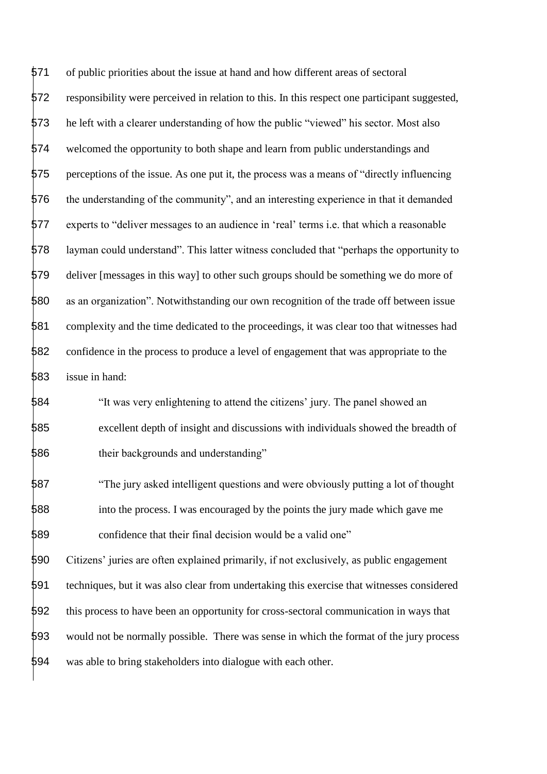of public priorities about the issue at hand and how different areas of sectoral responsibility were perceived in relation to this. In this respect one participant suggested, he left with a clearer understanding of how the public "viewed" his sector. Most also welcomed the opportunity to both shape and learn from public understandings and perceptions of the issue. As one put it, the process was a means of "directly influencing the understanding of the community", and an interesting experience in that it demanded experts to "deliver messages to an audience in 'real' terms i.e. that which a reasonable layman could understand". This latter witness concluded that "perhaps the opportunity to deliver [messages in this way] to other such groups should be something we do more of as an organization". Notwithstanding our own recognition of the trade off between issue complexity and the time dedicated to the proceedings, it was clear too that witnesses had confidence in the process to produce a level of engagement that was appropriate to the issue in hand:

 "It was very enlightening to attend the citizens' jury. The panel showed an excellent depth of insight and discussions with individuals showed the breadth of their backgrounds and understanding"

 "The jury asked intelligent questions and were obviously putting a lot of thought into the process. I was encouraged by the points the jury made which gave me confidence that their final decision would be a valid one"

 Citizens' juries are often explained primarily, if not exclusively, as public engagement techniques, but it was also clear from undertaking this exercise that witnesses considered this process to have been an opportunity for cross-sectoral communication in ways that would not be normally possible. There was sense in which the format of the jury process was able to bring stakeholders into dialogue with each other.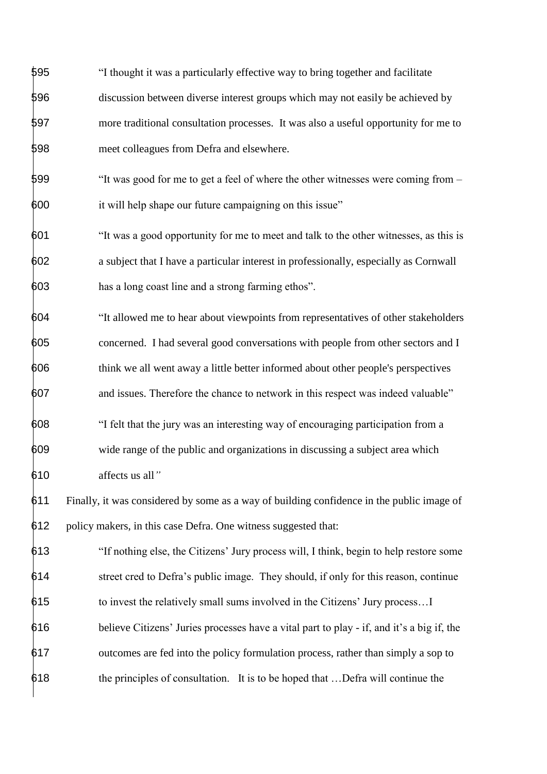"I thought it was a particularly effective way to bring together and facilitate discussion between diverse interest groups which may not easily be achieved by more traditional consultation processes. It was also a useful opportunity for me to meet colleagues from Defra and elsewhere.

 "It was good for me to get a feel of where the other witnesses were coming from – it will help shape our future campaigning on this issue"

 "It was a good opportunity for me to meet and talk to the other witnesses, as this is a subject that I have a particular interest in professionally, especially as Cornwall has a long coast line and a strong farming ethos".

 "It allowed me to hear about viewpoints from representatives of other stakeholders concerned. I had several good conversations with people from other sectors and I think we all went away a little better informed about other people's perspectives and issues. Therefore the chance to network in this respect was indeed valuable"

 "I felt that the jury was an interesting way of encouraging participation from a wide range of the public and organizations in discussing a subject area which affects us all*"*

 Finally, it was considered by some as a way of building confidence in the public image of policy makers, in this case Defra. One witness suggested that:

 "If nothing else, the Citizens' Jury process will, I think, begin to help restore some street cred to Defra's public image. They should, if only for this reason, continue to invest the relatively small sums involved in the Citizens' Jury process…I believe Citizens' Juries processes have a vital part to play - if, and it's a big if, the outcomes are fed into the policy formulation process, rather than simply a sop to the principles of consultation. It is to be hoped that …Defra will continue the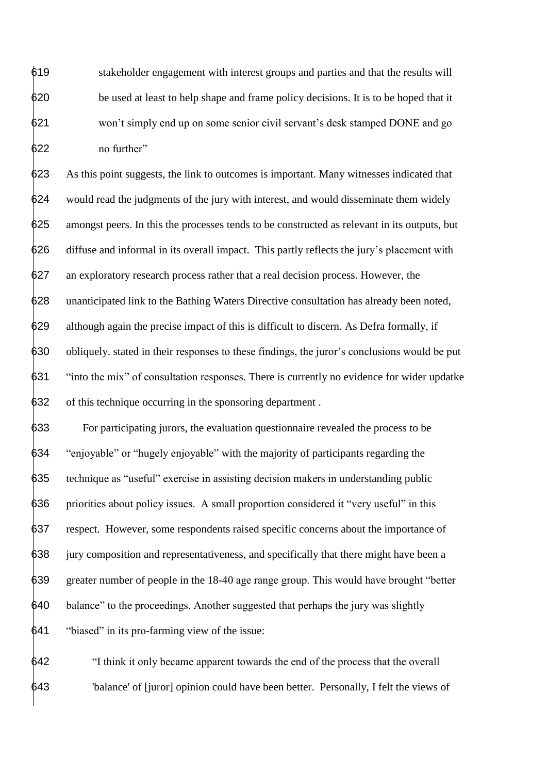stakeholder engagement with interest groups and parties and that the results will be used at least to help shape and frame policy decisions. It is to be hoped that it won't simply end up on some senior civil servant's desk stamped DONE and go no further"

 As this point suggests, the link to outcomes is important. Many witnesses indicated that would read the judgments of the jury with interest, and would disseminate them widely amongst peers. In this the processes tends to be constructed as relevant in its outputs, but 626 diffuse and informal in its overall impact. This partly reflects the jury's placement with an exploratory research process rather that a real decision process. However, the unanticipated link to the Bathing Waters Directive consultation has already been noted, although again the precise impact of this is difficult to discern. As Defra formally, if obliquely. stated in their responses to these findings, the juror's conclusions would be put 631 "into the mix" of consultation responses. There is currently no evidence for wider updatke of this technique occurring in the sponsoring department .

 For participating jurors, the evaluation questionnaire revealed the process to be "enjoyable" or "hugely enjoyable" with the majority of participants regarding the technique as "useful" exercise in assisting decision makers in understanding public priorities about policy issues. A small proportion considered it "very useful" in this respect. However, some respondents raised specific concerns about the importance of 638 jury composition and representativeness, and specifically that there might have been a greater number of people in the 18-40 age range group. This would have brought "better balance" to the proceedings. Another suggested that perhaps the jury was slightly "biased" in its pro-farming view of the issue:

 "I think it only became apparent towards the end of the process that the overall 'balance' of [juror] opinion could have been better. Personally, I felt the views of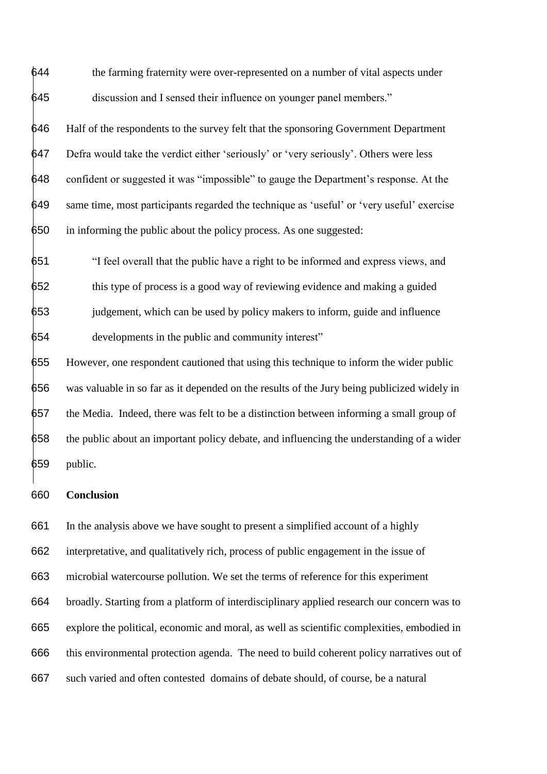the farming fraternity were over-represented on a number of vital aspects under discussion and I sensed their influence on younger panel members."

646 Half of the respondents to the survey felt that the sponsoring Government Department Defra would take the verdict either 'seriously' or 'very seriously'. Others were less confident or suggested it was "impossible" to gauge the Department's response. At the same time, most participants regarded the technique as 'useful' or 'very useful' exercise in informing the public about the policy process. As one suggested:

 "I feel overall that the public have a right to be informed and express views, and this type of process is a good way of reviewing evidence and making a guided judgement, which can be used by policy makers to inform, guide and influence developments in the public and community interest"

 However, one respondent cautioned that using this technique to inform the wider public was valuable in so far as it depended on the results of the Jury being publicized widely in the Media. Indeed, there was felt to be a distinction between informing a small group of the public about an important policy debate, and influencing the understanding of a wider public.

### **Conclusion**

 In the analysis above we have sought to present a simplified account of a highly interpretative, and qualitatively rich, process of public engagement in the issue of microbial watercourse pollution. We set the terms of reference for this experiment broadly. Starting from a platform of interdisciplinary applied research our concern was to explore the political, economic and moral, as well as scientific complexities, embodied in this environmental protection agenda. The need to build coherent policy narratives out of such varied and often contested domains of debate should, of course, be a natural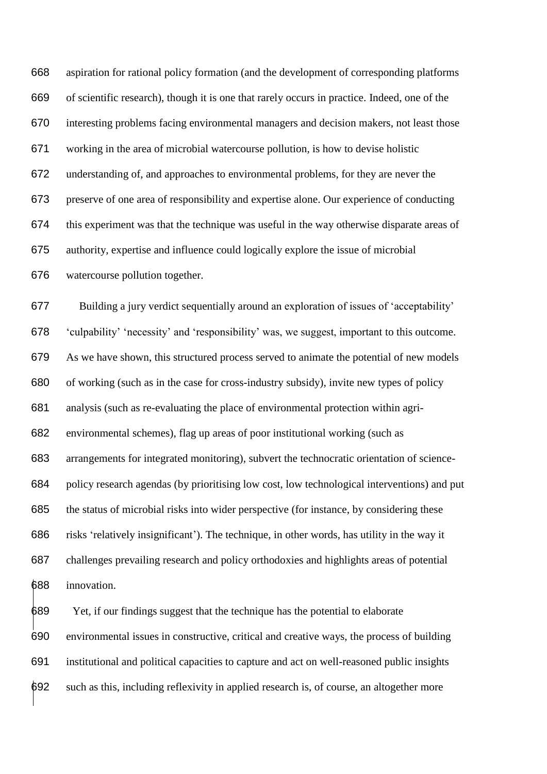aspiration for rational policy formation (and the development of corresponding platforms of scientific research), though it is one that rarely occurs in practice. Indeed, one of the interesting problems facing environmental managers and decision makers, not least those working in the area of microbial watercourse pollution, is how to devise holistic understanding of, and approaches to environmental problems, for they are never the preserve of one area of responsibility and expertise alone. Our experience of conducting this experiment was that the technique was useful in the way otherwise disparate areas of authority, expertise and influence could logically explore the issue of microbial watercourse pollution together.

 Building a jury verdict sequentially around an exploration of issues of 'acceptability' 'culpability' 'necessity' and 'responsibility' was, we suggest, important to this outcome. As we have shown, this structured process served to animate the potential of new models of working (such as in the case for cross-industry subsidy), invite new types of policy analysis (such as re-evaluating the place of environmental protection within agri- environmental schemes), flag up areas of poor institutional working (such as arrangements for integrated monitoring), subvert the technocratic orientation of science- policy research agendas (by prioritising low cost, low technological interventions) and put the status of microbial risks into wider perspective (for instance, by considering these risks 'relatively insignificant'). The technique, in other words, has utility in the way it challenges prevailing research and policy orthodoxies and highlights areas of potential innovation.

 Yet, if our findings suggest that the technique has the potential to elaborate environmental issues in constructive, critical and creative ways, the process of building institutional and political capacities to capture and act on well-reasoned public insights such as this, including reflexivity in applied research is, of course, an altogether more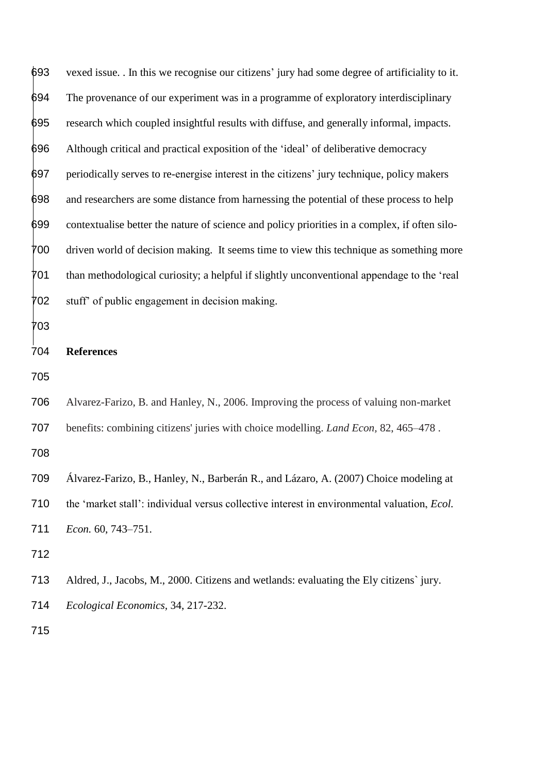vexed issue. . In this we recognise our citizens' jury had some degree of artificiality to it. The provenance of our experiment was in a programme of exploratory interdisciplinary research which coupled insightful results with diffuse, and generally informal, impacts. Although critical and practical exposition of the 'ideal' of deliberative democracy periodically serves to re-energise interest in the citizens' jury technique, policy makers and researchers are some distance from harnessing the potential of these process to help contextualise better the nature of science and policy priorities in a complex, if often silo- driven world of decision making. It seems time to view this technique as something more than methodological curiosity; a helpful if slightly unconventional appendage to the 'real stuff' of public engagement in decision making. **References** Alvarez-Farizo, B. and Hanley, N., 2006. Improving the process of valuing non-market benefits: combining citizens' juries with choice modelling. *Land Econ,* 82, 465–478 . Álvarez-Farizo, B., Hanley, N., Barberán R., and Lázaro, A. (2007) Choice modeling at the 'market stall': individual versus collective interest in environmental valuation, *Ecol. Econ.* 60, 743–751. Aldred, J., Jacobs, M., 2000. Citizens and wetlands: evaluating the Ely citizens` jury. *Ecological Economics,* 34, 217-232.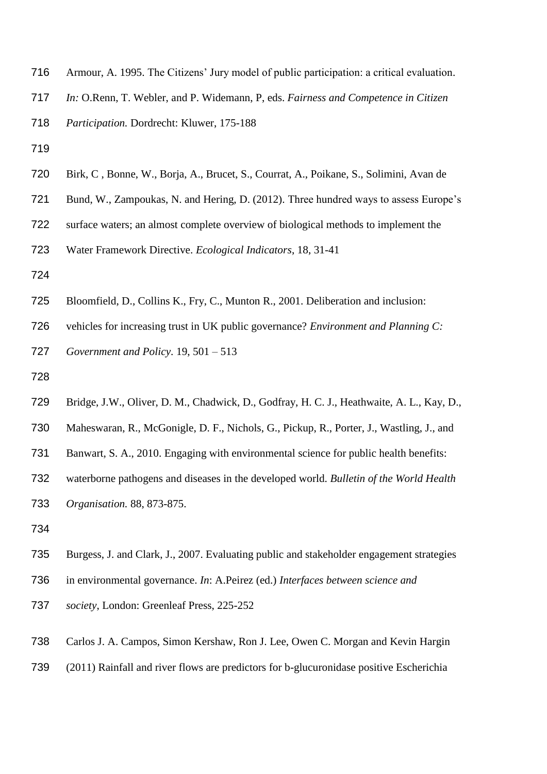- Armour, A. 1995. The Citizens' Jury model of public participation: a critical evaluation.
- *In:* O.Renn, T. Webler, and P. Widemann, P, eds. *Fairness and Competence in Citizen*
- *Participation.* Dordrecht: Kluwer, 175-188
- 
- Birk, C , Bonne, W., Borja, A., Brucet, S., Courrat, A., Poikane, S., Solimini, Avan de
- Bund, W., Zampoukas, N. and Hering, D. (2012). Three hundred ways to assess Europe's
- surface waters; an almost complete overview of biological methods to implement the
- Water Framework Directive. *Ecological Indicators*, 18, 31-41
- 
- Bloomfield, D., Collins K., Fry, C., Munton R., 2001. Deliberation and inclusion:
- vehicles for increasing trust in UK public governance? *Environment and Planning C:*
- *Government and Policy*. 19, 501 513
- 
- Bridge, J.W., Oliver, D. M., Chadwick, D., Godfray, H. C. J., Heathwaite, A. L., Kay, D.,
- Maheswaran, R., McGonigle, D. F., Nichols, G., Pickup, R., Porter, J., Wastling, J., and
- Banwart, S. A., 2010. Engaging with environmental science for public health benefits:
- waterborne pathogens and diseases in the developed world. *Bulletin of the World Health*
- *Organisation.* 88, 873-875.
- 
- Burgess, J. and Clark, J., 2007. Evaluating public and stakeholder engagement strategies
- in environmental governance. *In*: A.Peirez (ed.) *Interfaces between science and*
- *society*, London: Greenleaf Press, 225-252
- Carlos J. A. Campos, Simon Kershaw, Ron J. Lee, Owen C. Morgan and Kevin Hargin
- (2011) Rainfall and river flows are predictors for b-glucuronidase positive Escherichia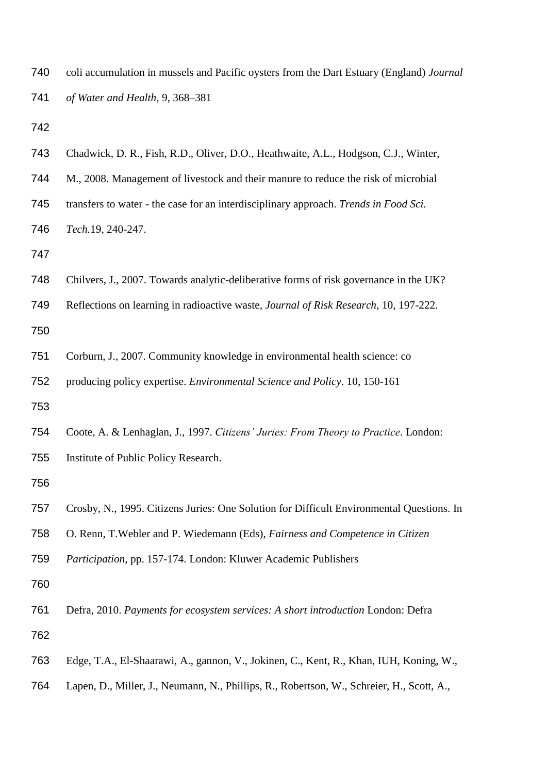| 740 | coli accumulation in mussels and Pacific oysters from the Dart Estuary (England) Journal  |  |  |
|-----|-------------------------------------------------------------------------------------------|--|--|
| 741 | of Water and Health, 9, 368-381                                                           |  |  |
| 742 |                                                                                           |  |  |
| 743 | Chadwick, D. R., Fish, R.D., Oliver, D.O., Heathwaite, A.L., Hodgson, C.J., Winter,       |  |  |
| 744 | M., 2008. Management of livestock and their manure to reduce the risk of microbial        |  |  |
| 745 | transfers to water - the case for an interdisciplinary approach. Trends in Food Sci.      |  |  |
| 746 | Tech. 19, 240-247.                                                                        |  |  |
| 747 |                                                                                           |  |  |
| 748 | Chilvers, J., 2007. Towards analytic-deliberative forms of risk governance in the UK?     |  |  |
| 749 | Reflections on learning in radioactive waste, Journal of Risk Research, 10, 197-222.      |  |  |
| 750 |                                                                                           |  |  |
| 751 | Corburn, J., 2007. Community knowledge in environmental health science: co                |  |  |
| 752 | producing policy expertise. Environmental Science and Policy. 10, 150-161                 |  |  |
| 753 |                                                                                           |  |  |
| 754 | Coote, A. & Lenhaglan, J., 1997. Citizens' Juries: From Theory to Practice. London:       |  |  |
| 755 | Institute of Public Policy Research.                                                      |  |  |
| 756 |                                                                                           |  |  |
| 757 | Crosby, N., 1995. Citizens Juries: One Solution for Difficult Environmental Questions. In |  |  |
| 758 | O. Renn, T. Webler and P. Wiedemann (Eds), Fairness and Competence in Citizen             |  |  |
| 759 | Participation, pp. 157-174. London: Kluwer Academic Publishers                            |  |  |
| 760 |                                                                                           |  |  |
| 761 | Defra, 2010. Payments for ecosystem services: A short introduction London: Defra          |  |  |
| 762 |                                                                                           |  |  |
| 763 | Edge, T.A., El-Shaarawi, A., gannon, V., Jokinen, C., Kent, R., Khan, IUH, Koning, W.,    |  |  |
| 764 | Lapen, D., Miller, J., Neumann, N., Phillips, R., Robertson, W., Schreier, H., Scott, A., |  |  |
|     |                                                                                           |  |  |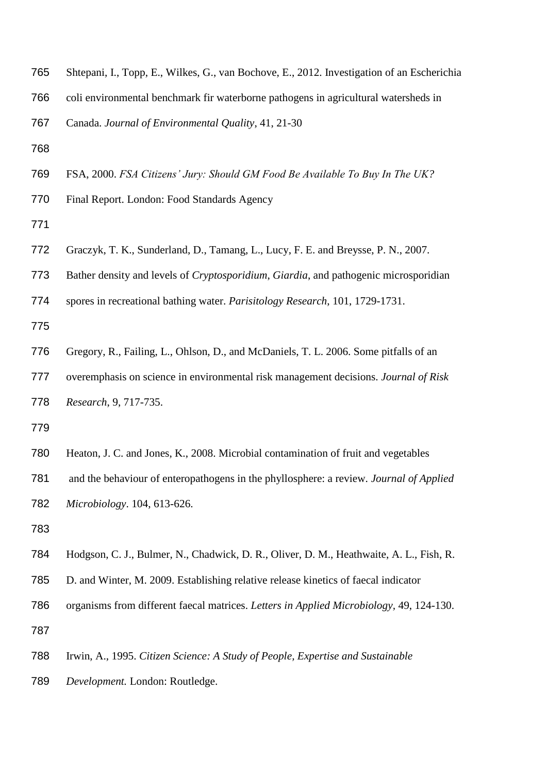- Shtepani, I., Topp, E., Wilkes, G., van Bochove, E., 2012. Investigation of an Escherichia
- coli environmental benchmark fir waterborne pathogens in agricultural watersheds in
- Canada. *Journal of Environmental Quality*, 41, 21-30
- 
- FSA, 2000. *FSA Citizens' Jury: Should GM Food Be Available To Buy In The UK?*
- Final Report. London: Food Standards Agency
- 
- Graczyk, T. K., Sunderland, D., Tamang, L., Lucy, F. E. and Breysse, P. N., 2007.
- Bather density and levels of *Cryptosporidium*, *Giardia*, and pathogenic microsporidian
- spores in recreational bathing water. *Parisitology Research*, 101, 1729-1731.
- 
- Gregory, R., Failing, L., Ohlson, D., and McDaniels, T. L. 2006. Some pitfalls of an
- overemphasis on science in environmental risk management decisions. *Journal of Risk Research*, 9, 717-735.
- 
- Heaton, J. C. and Jones, K., 2008. Microbial contamination of fruit and vegetables
- and the behaviour of enteropathogens in the phyllosphere: a review. *Journal of Applied*
- *Microbiology*. 104, 613-626.
- 
- Hodgson, C. J., Bulmer, N., Chadwick, D. R., Oliver, D. M., Heathwaite, A. L., Fish, R.
- D. and Winter, M. 2009. Establishing relative release kinetics of faecal indicator
- organisms from different faecal matrices. *Letters in Applied Microbiology,* 49, 124-130.
- 
- Irwin, A., 1995. *Citizen Science: A Study of People, Expertise and Sustainable*
- *Development.* London: Routledge.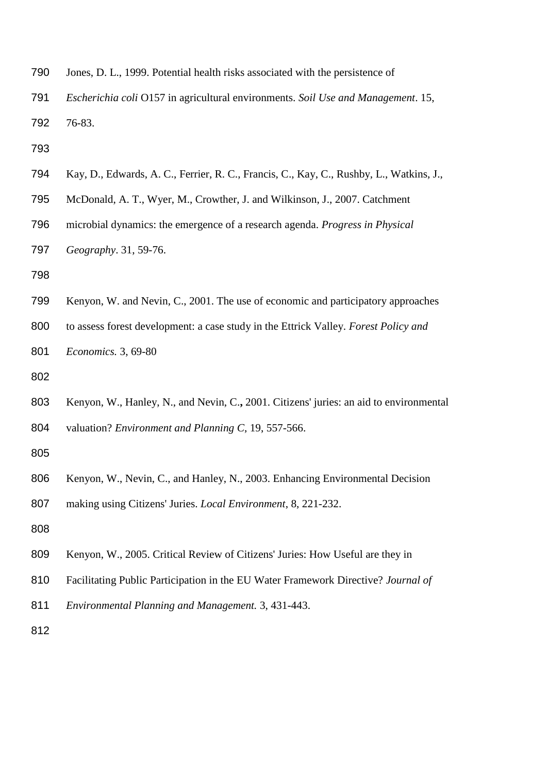- Jones, D. L., 1999. Potential health risks associated with the persistence of
- *Escherichia coli* O157 in agricultural environments. *Soil Use and Management*. 15, 76-83.
- 
- Kay, D., Edwards, A. C., Ferrier, R. C., Francis, C., Kay, C., Rushby, L., Watkins, J.,
- McDonald, A. T., Wyer, M., Crowther, J. and Wilkinson, J., 2007. Catchment
- microbial dynamics: the emergence of a research agenda. *Progress in Physical Geography*. 31, 59-76.
- 
- Kenyon, W. and Nevin, C., 2001. The use of economic and participatory approaches
- to assess forest development: a case study in the Ettrick Valley. *Forest Policy and*
- *Economics.* 3, 69-80
- 
- Kenyon, W., Hanley, N., and Nevin, C.**,** 2001. Citizens' juries: an aid to environmental valuation? *Environment and Planning C*, 19, 557-566.
- 
- Kenyon, W., Nevin, C., and Hanley, N., 2003. Enhancing Environmental Decision
- making using Citizens' Juries. *Local Environment*, 8, 221-232.
- 
- Kenyon, W., 2005. Critical Review of Citizens' Juries: How Useful are they in
- Facilitating Public Participation in the EU Water Framework Directive? *Journal of*
- *Environmental Planning and Management.* 3, 431-443.
-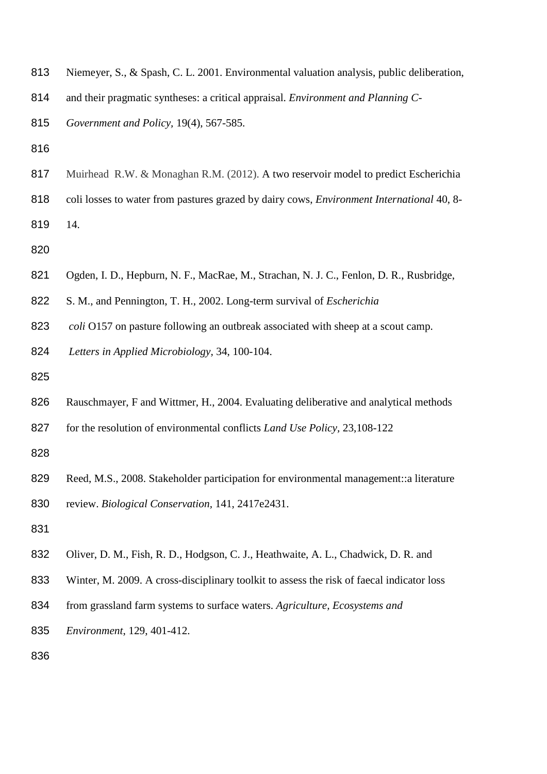- 813 Niemeyer, S., & Spash, C. L. 2001. Environmental valuation analysis, public deliberation,
- and their pragmatic syntheses: a critical appraisal. *Environment and Planning C-*

*Government and Policy,* 19(4), 567-585.

- 
- 817 Muirhead R.W. & Monaghan R.M. (2012). A two reservoir model to predict Escherichia
- coli losses to water from pastures grazed by dairy cows, *Environment International* 40, 8-
- 14.
- 
- Ogden, I. D., Hepburn, N. F., MacRae, M., Strachan, N. J. C., Fenlon, D. R., Rusbridge,
- S. M., and Pennington, T. H., 2002. Long-term survival of *Escherichia*
- *coli* O157 on pasture following an outbreak associated with sheep at a scout camp.
- *Letters in Applied Microbiology,* 34, 100-104.
- 
- Rauschmayer, F and Wittmer, H., 2004. Evaluating deliberative and analytical methods
- for the resolution of environmental conflicts *Land Use Policy,* 23,108-122
- 
- 829 Reed, M.S., 2008. Stakeholder participation for environmental management: a literature
- review. *Biological Conservation,* 141, 2417e2431.
- 
- Oliver, D. M., Fish, R. D., Hodgson, C. J., Heathwaite, A. L., Chadwick, D. R. and
- 833 Winter, M. 2009. A cross-disciplinary toolkit to assess the risk of faecal indicator loss
- from grassland farm systems to surface waters. *Agriculture, Ecosystems and*
- *Environment*, 129, 401-412.
-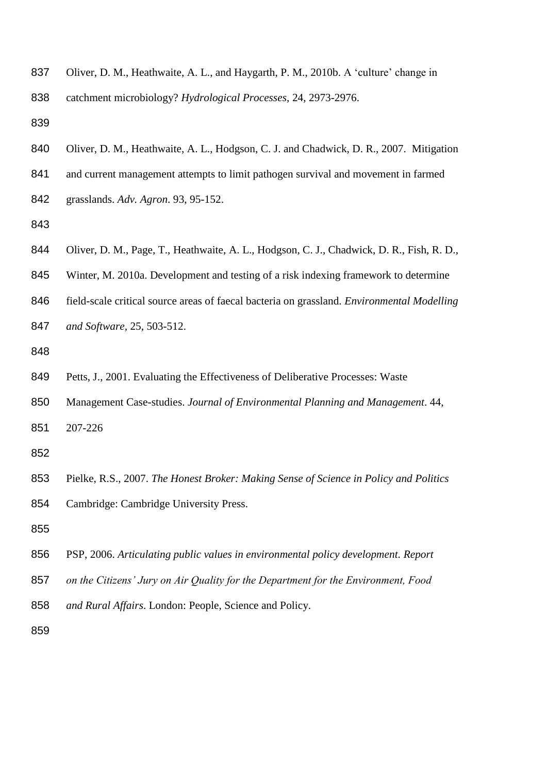- Oliver, D. M., Heathwaite, A. L., and Haygarth, P. M., 2010b. A 'culture' change in
- catchment microbiology? *Hydrological Processes*, 24, 2973-2976.
- 
- 840 Oliver, D. M., Heathwaite, A. L., Hodgson, C. J. and Chadwick, D. R., 2007. Mitigation
- and current management attempts to limit pathogen survival and movement in farmed
- grasslands. *Adv. Agron*. 93, 95-152.
- 
- 844 Oliver, D. M., Page, T., Heathwaite, A. L., Hodgson, C. J., Chadwick, D. R., Fish, R. D.,
- Winter, M. 2010a. Development and testing of a risk indexing framework to determine
- field-scale critical source areas of faecal bacteria on grassland. *Environmental Modelling*
- *and Software,* 25, 503-512.
- 
- Petts, J., 2001. Evaluating the Effectiveness of Deliberative Processes: Waste
- Management Case-studies. *Journal of Environmental Planning and Management*. 44,
- 207-226
- 
- Pielke, R.S., 2007. *The Honest Broker: Making Sense of Science in Policy and Politics*
- Cambridge: Cambridge University Press.
- 
- PSP, 2006. *Articulating public values in environmental policy development. Report*
- *on the Citizens' Jury on Air Quality for the Department for the Environment, Food*
- *and Rural Affairs*. London: People, Science and Policy.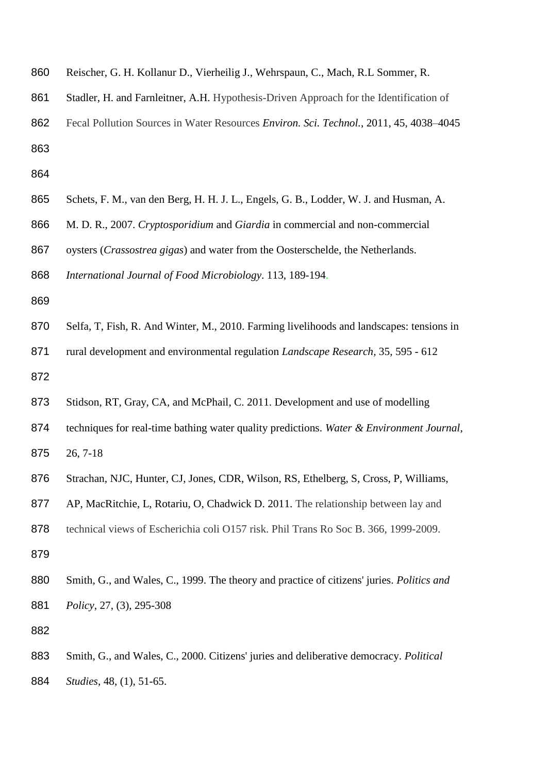- Reischer, G. H. Kollanur D., Vierheilig J., Wehrspaun, C., Mach, R.L Sommer, R.
- 861 Stadler, H. and Farnleitner, A.H. Hypothesis-Driven Approach for the Identification of
- Fecal Pollution Sources in Water Resources *Environ. Sci. Technol.*, 2011, 45, 4038–4045

- Schets, F. M., van den Berg, H. H. J. L., Engels, G. B., Lodder, W. J. and Husman, A.
- M. D. R., 2007. *Cryptosporidium* and *Giardia* in commercial and non-commercial
- oysters (*Crassostrea gigas*) and water from the Oosterschelde, the Netherlands.

*International Journal of Food Microbiology*. 113, 189-194.

- 
- Selfa, T, Fish, R. And Winter, M., 2010. Farming livelihoods and landscapes: tensions in
- rural development and environmental regulation *Landscape Research,* 35, 595 612
- 
- Stidson, RT, Gray, CA, and McPhail, C. 2011. Development and use of modelling
- techniques for real-time bathing water quality predictions. *Water & Environment Journal*,
- 26, 7-18
- Strachan, NJC, Hunter, CJ, Jones, CDR, Wilson, RS, Ethelberg, S, Cross, P, Williams,
- AP, MacRitchie, L, Rotariu, O, Chadwick D. 2011. The relationship between lay and
- 878 technical views of Escherichia coli O157 risk. Phil Trans Ro Soc B. 366, 1999-2009.
- Smith, G., and Wales, C., 1999. [The theory and practice of citizens' juries.](http://eprints.soton.ac.uk/34530/) *Politics and Policy*, 27, (3), 295-308
- 
- Smith, G., and Wales, C., 2000. [Citizens' juries and deliberative democracy.](http://eprints.soton.ac.uk/34087/) *Political*
- *Studies*, 48, (1), 51-65.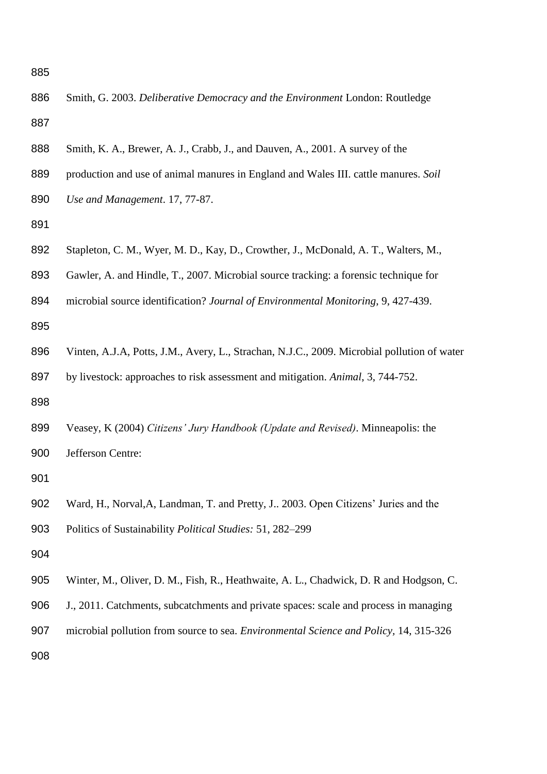- Smith, G. 2003. *Deliberative Democracy and the Environment* London: Routledge
- Smith, K. A., Brewer, A. J., Crabb, J., and Dauven, A., 2001. A survey of the
- production and use of animal manures in England and Wales III. cattle manures. *Soil*
- *Use and Management*. 17, 77-87.
- 
- Stapleton, C. M., Wyer, M. D., Kay, D., Crowther, J., McDonald, A. T., Walters, M.,
- Gawler, A. and Hindle, T., 2007. Microbial source tracking: a forensic technique for
- microbial source identification? *Journal of Environmental Monitoring*, 9, 427-439.
- 
- Vinten, A.J.A, Potts, J.M., Avery, L., Strachan, N.J.C., 2009. Microbial pollution of water
- by livestock: approaches to risk assessment and mitigation. *Animal*, 3, 744-752.
- 
- Veasey, K (2004) *Citizens' Jury Handbook (Update and Revised)*. Minneapolis: the
- Jefferson Centre:
- 
- Ward, H., Norval,A, Landman, T. and Pretty, J.. 2003. Open Citizens' Juries and the
- Politics of Sustainability *Political Studies:* 51, 282–299
- 
- Winter, M., Oliver, D. M., Fish, R., Heathwaite, A. L., Chadwick, D. R and Hodgson, C.
- J., 2011. Catchments, subcatchments and private spaces: scale and process in managing
- microbial pollution from source to sea. *Environmental Science and Policy,* 14, 315-326
-